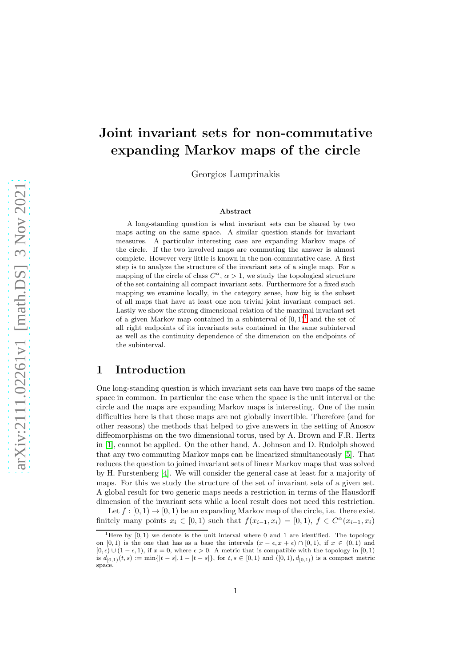# Joint invariant sets for non-commutative expanding Markov maps of the circle

Georgios Lamprinakis

#### Abstract

A long-standing question is what invariant sets can be shared by two maps acting on the same space. A similar question stands for invariant measures. A particular interesting case are expanding Markov maps of the circle. If the two involved maps are commuting the answer is almost complete. However very little is known in the non-commutative case. A first step is to analyze the structure of the invariant sets of a single map. For a mapping of the circle of class  $C^{\alpha}$ ,  $\alpha > 1$ , we study the topological structure of the set containing all compact invariant sets. Furthermore for a fixed such mapping we examine locally, in the category sense, how big is the subset of all maps that have at least one non trivial joint invariant compact set. Lastly we show the strong dimensional relation of the maximal invariant set of a given Markov map contained in a subinterval of  $[0,1)^1$  $[0,1)^1$  $[0,1)^1$  and the set of all right endpoints of its invariants sets contained in the same subinterval as well as the continuity dependence of the dimension on the endpoints of the subinterval.

# 1 Introduction

One long-standing question is which invariant sets can have two maps of the same space in common. In particular the case when the space is the unit interval or the circle and the maps are expanding Markov maps is interesting. One of the main difficulties here is that those maps are not globally invertible. Therefore (and for other reasons) the methods that helped to give answers in the setting of Anosov diffeomorphisms on the two dimensional torus, used by A. Brown and F.R. Hertz in [1], cannot be applied. On the other hand, A. Johnson and D. Rudolph showed that any two commuting Markov maps can be linearized simultaneously [5]. That reduces the question to joined invariant sets of linear Markov maps that was solved by H. Furstenberg [4]. We will consider the general case at least for a majority of maps. For this we study the structure of the set of invariant sets of a given set. A global result for two generic maps needs a restriction in terms of the Hausdorff dimension of the invariant sets while a local result does not need this restriction.

Let  $f : [0, 1) \to [0, 1)$  be an expanding Markov map of the circle, i.e. there exist finitely many points  $x_i \in [0,1)$  such that  $f(x_{i-1}, x_i) = [0,1), f \in C^{\alpha}(x_{i-1}, x_i)$ 

<span id="page-0-0"></span><sup>&</sup>lt;sup>1</sup>Here by  $[0, 1)$  we denote is the unit interval where 0 and 1 are identified. The topology on [0, 1) is the one that has as a base the intervals  $(x - \epsilon, x + \epsilon) \cap [0, 1)$ , if  $x \in (0, 1)$  and  $[0, \epsilon) \cup (1 - \epsilon, 1)$ , if  $x = 0$ , where  $\epsilon > 0$ . A metric that is compatible with the topology in  $[0, 1)$ is  $d_{[0,1)}(t,s) := \min\{|t-s|, 1-|t-s|\}$ , for  $t, s \in [0,1)$  and  $([0,1), d_{[0,1)})$  is a compact metric space.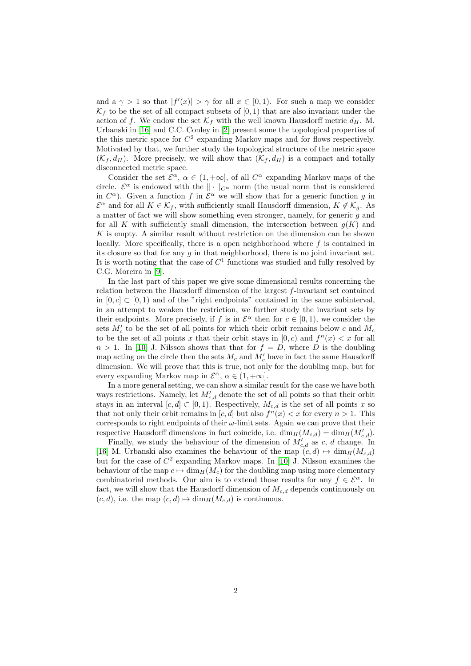and a  $\gamma > 1$  so that  $|f'(x)| > \gamma$  for all  $x \in [0,1)$ . For such a map we consider  $\mathcal{K}_f$  to be the set of all compact subsets of  $[0, 1)$  that are also invariant under the action of f. We endow the set  $\mathcal{K}_f$  with the well known Hausdorff metric  $d_H$ . M. Urbanski in [\[16\]](#page-21-0) and C.C. Conley in [\[2\]](#page-21-1) present some the topological properties of the this metric space for  $C^2$  expanding Markov maps and for flows respectively. Motivated by that, we further study the topological structure of the metric space  $(\mathcal{K}_f, d_H)$ . More precisely, we will show that  $(\mathcal{K}_f, d_H)$  is a compact and totally disconnected metric space.

Consider the set  $\mathcal{E}^{\alpha}$ ,  $\alpha \in (1, +\infty]$ , of all  $C^{\alpha}$  expanding Markov maps of the circle.  $\mathcal{E}^{\alpha}$  is endowed with the  $\|\cdot\|_{C^{\alpha}}$  norm (the usual norm that is considered in  $C^{\alpha}$ ). Given a function f in  $\mathcal{E}^{\alpha}$  we will show that for a generic function g in  $\mathcal{E}^{\alpha}$  and for all  $K \in \mathcal{K}_f$ , with sufficiently small Hausdorff dimension,  $K \notin \mathcal{K}_g$ . As a matter of fact we will show something even stronger, namely, for generic g and for all K with sufficiently small dimension, the intersection between  $g(K)$  and K is empty. A similar result without restriction on the dimension can be shown locally. More specifically, there is a open neighborhood where  $f$  is contained in its closure so that for any  $q$  in that neighborhood, there is no joint invariant set. It is worth noting that the case of  $C^1$  functions was studied and fully resolved by C.G. Moreira in [\[9\]](#page-21-2).

In the last part of this paper we give some dimensional results concerning the relation between the Hausdorff dimension of the largest f-invariant set contained in  $[0, c] \subset [0, 1)$  and of the "right endpoints" contained in the same subinterval, in an attempt to weaken the restriction, we further study the invariant sets by their endpoints. More precisely, if f is in  $\mathcal{E}^{\alpha}$  then for  $c \in [0,1)$ , we consider the sets  $M'_c$  to be the set of all points for which their orbit remains below c and  $M_c$ to be the set of all points x that their orbit stays in  $[0, c)$  and  $f^{(n)}(x) < x$  for all  $n > 1$ . In [10] J. Nilsson shows that that for  $f = D$ , where D is the doubling map acting on the circle then the sets  $M_c$  and  $M'_c$  have in fact the same Hausdorff dimension. We will prove that this is true, not only for the doubling map, but for every expanding Markov map in  $\mathcal{E}^{\alpha}$ ,  $\alpha \in (1, +\infty]$ .

In a more general setting, we can show a similar result for the case we have both ways restrictions. Namely, let  $M'_{c,d}$  denote the set of all points so that their orbit stays in an interval  $[c, d] \subset [0, 1)$ . Respectively,  $M_{c,d}$  is the set of all points x so that not only their orbit remains in  $[c, d]$  but also  $f^{n}(x) < x$  for every  $n > 1$ . This corresponds to right endpoints of their  $\omega$ -limit sets. Again we can prove that their respective Hausdorff dimensions in fact coincide, i.e.  $\dim_H(M_{c,d}) = \dim_H(M'_{c,d}).$ 

Finally, we study the behaviour of the dimension of  $M'_{c,d}$  as c, d change. In [\[16\]](#page-21-0) M. Urbanski also examines the behaviour of the map  $(c, d) \mapsto \dim_H(M_{c,d})$ but for the case of  $C^2$  expanding Markov maps. In [10] J. Nilsson examines the behaviour of the map  $c \mapsto \dim_H(M_c)$  for the doubling map using more elementary combinatorial methods. Our aim is to extend those results for any  $f \in \mathcal{E}^{\alpha}$ . In fact, we will show that the Hausdorff dimension of  $M_{c,d}$  depends continuously on  $(c, d)$ , i.e. the map  $(c, d) \mapsto \dim_H(M_{c,d})$  is continuous.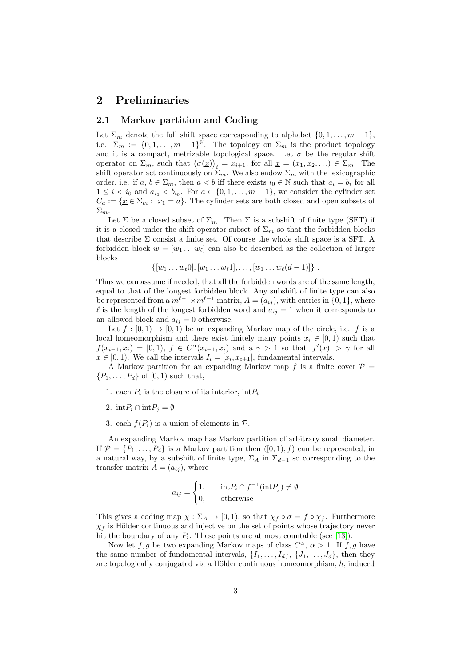# 2 Preliminaries

### 2.1 Markov partition and Coding

Let  $\Sigma_m$  denote the full shift space corresponding to alphabet  $\{0, 1, \ldots, m-1\}$ , i.e.  $\Sigma_m := \{0, 1, \ldots, m-1\}^{\bar{N}}$ . The topology on  $\Sigma_m$  is the product topology and it is a compact, metrizable topological space. Let  $\sigma$  be the regular shift operator on  $\Sigma_m$ , such that  $(\sigma(\underline{x}))_i = x_{i+1}$ , for all  $\underline{x} = (x_1, x_2, ...) \in \Sigma_m$ . The shift operator act continuously on  $\Sigma_m$ . We also endow  $\Sigma_m$  with the lexicographic order, i.e. if  $\underline{a}, \underline{b} \in \Sigma_m$ , then  $\underline{a} < \underline{b}$  iff there exists  $i_0 \in \mathbb{N}$  such that  $a_i = b_i$  for all  $1 \leq i \leq i_0$  and  $a_{i_0} \leq b_{i_0}$ . For  $a \in \{0, 1, \ldots, m-1\}$ , we consider the cylinder set  $C_a := \{ \underline{x} \in \Sigma_m : x_1 = a \}.$  The cylinder sets are both closed and open subsets of  $\Sigma_m$ .

Let  $\Sigma$  be a closed subset of  $\Sigma_m$ . Then  $\Sigma$  is a subshift of finite type (SFT) if it is a closed under the shift operator subset of  $\Sigma_m$  so that the forbidden blocks that describe  $\Sigma$  consist a finite set. Of course the whole shift space is a SFT. A forbidden block  $w = [w_1 \dots w_\ell]$  can also be described as the collection of larger blocks

$$
\{[w_1 \ldots w_\ell 0], [w_1 \ldots w_\ell 1], \ldots, [w_1 \ldots w_\ell (d-1)]\}.
$$

Thus we can assume if needed, that all the forbidden words are of the same length, equal to that of the longest forbidden block. Any subshift of finite type can also be represented from a  $m^{\ell-1} \times m^{\ell-1}$  matrix,  $A = (a_{ij})$ , with entries in  $\{0, 1\}$ , where l is the length of the longest forbidden word and  $a_{ij} = 1$  when it corresponds to an allowed block and  $a_{ij} = 0$  otherwise.

Let  $f : [0,1) \to [0,1)$  be an expanding Markov map of the circle, i.e. f is a local homeomorphism and there exist finitely many points  $x_i \in [0, 1)$  such that  $f(x_{i-1}, x_i) = [0, 1), f \in C^{\alpha}(x_{i-1}, x_i)$  and a  $\gamma > 1$  so that  $|f'(x)| > \gamma$  for all  $x \in [0,1)$ . We call the intervals  $I_i = [x_i, x_{i+1}]$ , fundamental intervals.

A Markov partition for an expanding Markov map  $f$  is a finite cover  $\mathcal{P}$  =  $\{P_1,\ldots,P_d\}$  of  $[0,1)$  such that,

- 1. each  $P_i$  is the closure of its interior,  $\mathrm{int}P_i$
- 2. int $P_i \cap \text{int}P_j = \emptyset$
- 3. each  $f(P_i)$  is a union of elements in  $\mathcal{P}$ .

An expanding Markov map has Markov partition of arbitrary small diameter. If  $\mathcal{P} = \{P_1, \ldots, P_d\}$  is a Markov partition then  $([0, 1), f)$  can be represented, in a natural way, by a subshift of finite type,  $\Sigma_A$  in  $\Sigma_{d-1}$  so corresponding to the transfer matrix  $A = (a_{ij})$ , where

$$
a_{ij} = \begin{cases} 1, & \text{int} P_i \cap f^{-1}(\text{int} P_j) \neq \emptyset \\ 0, & \text{otherwise} \end{cases}
$$

This gives a coding map  $\chi : \Sigma_A \to [0,1)$ , so that  $\chi_f \circ \sigma = f \circ \chi_f$ . Furthermore  $\chi_f$  is Hölder continuous and injective on the set of points whose trajectory never hit the boundary of any  $P_i$ . These points are at most countable (see [\[13\]](#page-21-3)).

Now let  $f, g$  be two expanding Markov maps of class  $C^{\alpha}, \alpha > 1$ . If  $f, g$  have the same number of fundamental intervals,  $\{I_1, \ldots, I_d\}$ ,  $\{J_1, \ldots, J_d\}$ , then they are topologically conjugated via a Hölder continuous homeomorphism,  $h$ , induced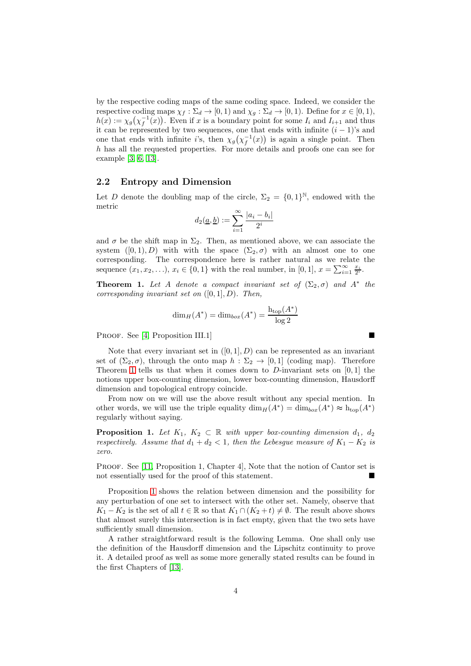by the respective coding maps of the same coding space. Indeed, we consider the respective coding maps  $\chi_f : \Sigma_d \to [0, 1)$  and  $\chi_g : \Sigma_d \to [0, 1)$ . Define for  $x \in [0, 1)$ ,  $h(x) := \chi_g(\chi_f^{-1}(x))$ . Even if x is a boundary point for some  $I_i$  and  $I_{i+1}$  and thus it can be represented by two sequences, one that ends with infinite  $(i - 1)$ 's and one that ends with infinite i's, then  $\chi_g(\chi_f^{-1}(x))$  is again a single point. Then h has all the requested properties. For more details and proofs one can see for example [3, 6, [13\]](#page-21-3).

### 2.2 Entropy and Dimension

Let D denote the doubling map of the circle,  $\Sigma_2 = \{0,1\}^{\mathbb{N}}$ , endowed with the metric

$$
d_2(\underline{a}, \underline{b}) := \sum_{i=1}^{\infty} \frac{|a_i - b_i|}{2^i}
$$

and  $\sigma$  be the shift map in  $\Sigma_2$ . Then, as mentioned above, we can associate the system  $([0, 1), D)$  with with the space  $(\Sigma_2, \sigma)$  with an almost one to one corresponding. The correspondence here is rather natural as we relate the sequence  $(x_1, x_2, \ldots), x_i \in \{0, 1\}$  with the real number, in  $[0, 1], x = \sum_{i=1}^{\infty} \frac{x_i}{2^i}$ .

<span id="page-3-0"></span>**Theorem 1.** Let A denote a compact invariant set of  $(\Sigma_2, \sigma)$  and  $A^*$  the corresponding invariant set on  $([0, 1], D)$ . Then,

$$
\dim_H(A^*) = \dim_{box}(A^*) = \frac{\mathrm{h}_{\mathrm{top}}(A^*)}{\log 2}
$$

PROOF. See [4, Proposition III.1]

Note that every invariant set in  $([0, 1], D)$  can be represented as an invariant set of  $(\Sigma_2, \sigma)$ , through the onto map  $h : \Sigma_2 \to [0, 1]$  (coding map). Therefore Theorem [1](#page-3-0) tells us that when it comes down to  $D$ -invariant sets on [0, 1] the notions upper box-counting dimension, lower box-counting dimension, Hausdorff dimension and topological entropy coincide.

From now on we will use the above result without any special mention. In other words, we will use the triple equality  $\dim_H(A^*) = \dim_{box}(A^*) \approx \mathrm{h}_{top}(A^*)$ regularly without saying.

<span id="page-3-1"></span>**Proposition 1.** Let  $K_1$ ,  $K_2 \subset \mathbb{R}$  with upper box-counting dimension  $d_1$ ,  $d_2$ respectively. Assume that  $d_1 + d_2 < 1$ , then the Lebesgue measure of  $K_1 - K_2$  is zero.

PROOF. See [11, Proposition 1, Chapter 4], Note that the notion of Cantor set is not essentially used for the proof of this statement.

Proposition [1](#page-3-1) shows the relation between dimension and the possibility for any perturbation of one set to intersect with the other set. Namely, observe that  $K_1 - K_2$  is the set of all  $t \in \mathbb{R}$  so that  $K_1 \cap (K_2 + t) \neq \emptyset$ . The result above shows that almost surely this intersection is in fact empty, given that the two sets have sufficiently small dimension.

A rather straightforward result is the following Lemma. One shall only use the definition of the Hausdorff dimension and the Lipschitz continuity to prove it. A detailed proof as well as some more generally stated results can be found in the first Chapters of [\[13\]](#page-21-3).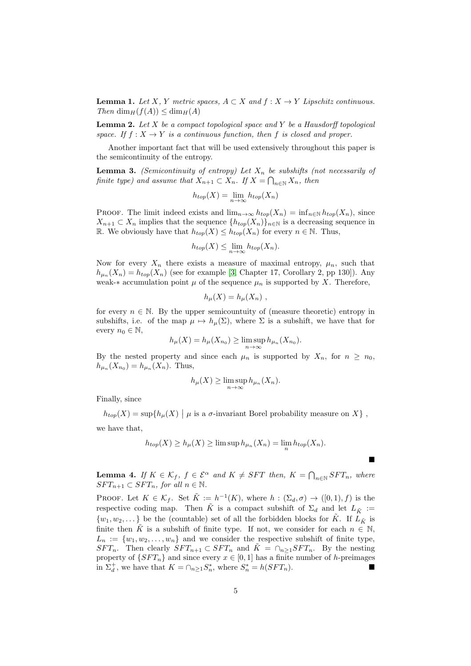<span id="page-4-2"></span>**Lemma 1.** Let X, Y metric spaces,  $A \subset X$  and  $f : X \to Y$  Lipschitz continuous. Then  $\dim_H(f(A)) \leq \dim_H(A)$ 

<span id="page-4-3"></span>**Lemma 2.** Let  $X$  be a compact topological space and  $Y$  be a Hausdorff topological space. If  $f: X \to Y$  is a continuous function, then f is closed and proper.

Another important fact that will be used extensively throughout this paper is the semicontinuity of the entropy.

<span id="page-4-0"></span>**Lemma 3.** (Semicontinuity of entropy) Let  $X_n$  be subshifts (not necessarily of finite type) and assume that  $X_{n+1} \subset X_n$ . If  $X = \bigcap_{n \in \mathbb{N}} X_n$ , then

$$
h_{top}(X) = \lim_{n \to \infty} h_{top}(X_n)
$$

PROOF. The limit indeed exists and  $\lim_{n\to\infty} h_{top}(X_n) = \inf_{n\in\mathbb{N}} h_{top}(X_n)$ , since  $X_{n+1} \subset X_n$  implies that the sequence  $\{h_{top}(X_n)\}_{n\in\mathbb{N}}$  is a decreasing sequence in R. We obviously have that  $h_{top}(X) \leq h_{top}(X_n)$  for every  $n \in \mathbb{N}$ . Thus,

$$
h_{top}(X) \le \lim_{n \to \infty} h_{top}(X_n).
$$

Now for every  $X_n$  there exists a measure of maximal entropy,  $\mu_n$ , such that  $h_{\mu_n}(X_n) = h_{top}(X_n)$  (see for example [3, Chapter 17, Corollary 2, pp 130]). Any weak-∗ accumulation point  $\mu$  of the sequence  $\mu_n$  is supported by X. Therefore,

$$
h_{\mu}(X) = h_{\mu}(X_n) ,
$$

for every  $n \in \mathbb{N}$ . By the upper semicountuity of (measure theoretic) entropy in subshifts, i.e. of the map  $\mu \mapsto h_{\mu}(\Sigma)$ , where  $\Sigma$  is a subshift, we have that for every  $n_0 \in \mathbb{N}$ ,

$$
h_{\mu}(X) = h_{\mu}(X_{n_0}) \ge \limsup_{n \to \infty} h_{\mu_n}(X_{n_0}).
$$

By the nested property and since each  $\mu_n$  is supported by  $X_n$ , for  $n \geq n_0$ ,  $h_{\mu_n}(X_{n_0}) = h_{\mu_n}(X_n)$ . Thus,

$$
h_{\mu}(X) \ge \limsup_{n \to \infty} h_{\mu_n}(X_n).
$$

Finally, since

 $h_{top}(X) = \sup\{h_{\mu}(X) \mid \mu \text{ is a } \sigma\text{-invariant Borel probability measure on } X\}$ ,

we have that,

$$
h_{top}(X) \ge h_{\mu}(X) \ge \limsup h_{\mu_n}(X_n) = \lim_{n} h_{top}(X_n).
$$

 $\blacksquare$ 

<span id="page-4-1"></span>**Lemma 4.** If  $K \in \mathcal{K}_f$ ,  $f \in \mathcal{E}^{\alpha}$  and  $K \neq SFT$  then,  $K = \bigcap_{n \in \mathbb{N}} SFT_n$ , where  $SFT_{n+1} \subset SFT_n$ , for all  $n \in \mathbb{N}$ .

**PROOF.** Let  $K \in \mathcal{K}_f$ . Set  $\tilde{K} := h^{-1}(K)$ , where  $h : (\Sigma_d, \sigma) \to ([0, 1), f)$  is the respective coding map. Then  $\tilde{K}$  is a compact subshift of  $\Sigma_d$  and let  $L_{\tilde{K}}$  :=  $\{w_1, w_2, \dots\}$  be the (countable) set of all the forbidden blocks for  $\tilde{K}$ . If  $L_{\tilde{K}}$  is finite then  $\tilde{K}$  is a subshift of finite type. If not, we consider for each  $n \in \mathbb{N}$ ,  $L_n := \{w_1, w_2, \ldots, w_n\}$  and we consider the respective subshift of finite type,  $SFT_n$ . Then clearly  $SFT_{n+1} \subset SFT_n$  and  $\tilde{K} = \cap_{n \geq 1} SFT_n$ . By the nesting property of  $\{SFT_n\}$  and since every  $x \in [0,1]$  has a finite number of h-preimages in  $\Sigma_d^+$ , we have that  $K = \cap_{n \geq 1} S_n^*$ , where  $S_n^* = h(SFT_n)$ .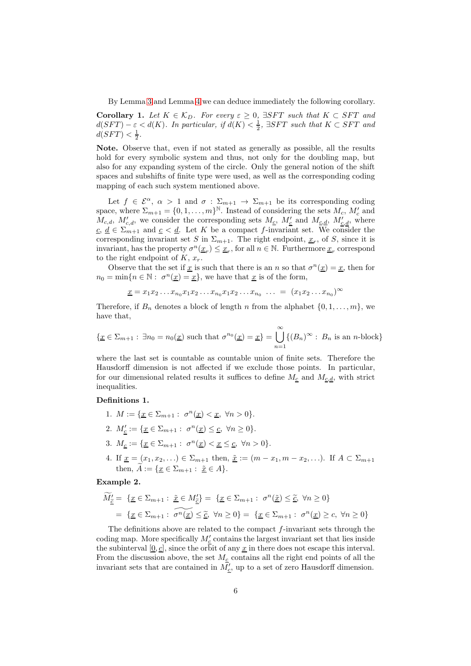By Lemma [3](#page-4-0) and Lemma [4](#page-4-1) we can deduce immediately the following corollary.

**Corollary 1.** Let  $K \in \mathcal{K}_D$ . For every  $\varepsilon \geq 0$ ,  $\exists SFT$  such that  $K \subset SFT$  and  $d(SFT) - \varepsilon < d(K)$ . In particular, if  $d(K) < \frac{1}{2}$ ,  $\exists SFT$  such that  $K \subset SFT$  and  $d(SFT) < \frac{1}{2}$ .

Note. Observe that, even if not stated as generally as possible, all the results hold for every symbolic system and thus, not only for the doubling map, but also for any expanding system of the circle. Only the general notion of the shift spaces and subshifts of finite type were used, as well as the corresponding coding mapping of each such system mentioned above.

Let  $f \in \mathcal{E}^{\alpha}$ ,  $\alpha > 1$  and  $\sigma : \Sigma_{m+1} \to \Sigma_{m+1}$  be its corresponding coding space, where  $\Sigma_{m+1} = \{0, 1, ..., m\}^{\mathbb{N}}$ . Instead of considering the sets  $M_c$ ,  $M_c'$  and  $M_{c,d}$ ,  $M'_{c,d}$ , we consider the corresponding sets  $M_{c}$ ,  $M'_{c}$  and  $M_{c,d}$ ,  $M'_{c,d}$ , where  $c, d \in \sum_{m+1}$  and  $c < d$ . Let K be a compact f-invariant set. We consider the corresponding invariant set S in  $\Sigma_{m+1}$ . The right endpoint,  $\underline{x}_r$ , of S, since it is invariant, has the property  $\sigma^n(\underline{x}_r) \leq \underline{x}_r$ , for all  $n \in \mathbb{N}$ . Furthermore  $\underline{x}_r$  correspond to the right endpoint of  $K, x_r$ .

Observe that the set if <u>x</u> is such that there is an n so that  $\sigma^{n}(\underline{x}) = \underline{x}$ , then for  $n_0 = \min\{n \in \mathbb{N} : \sigma^n(\underline{x}) = \underline{x}\},\$ we have that  $\underline{x}$  is of the form,

$$
\underline{x} = x_1 x_2 \dots x_{n_0} x_1 x_2 \dots x_{n_0} x_1 x_2 \dots x_{n_0} \dots = (x_1 x_2 \dots x_{n_0})^{\infty}
$$

Therefore, if  $B_n$  denotes a block of length n from the alphabet  $\{0, 1, \ldots, m\}$ , we have that,

$$
\{\underline{x} \in \Sigma_{m+1} : \exists n_0 = n_0(\underline{x}) \text{ such that } \sigma^{n_0}(\underline{x}) = \underline{x}\} = \bigcup_{n=1}^{\infty} \{(B_n)^{\infty} : B_n \text{ is an } n\text{-block}\}
$$

where the last set is countable as countable union of finite sets. Therefore the Hausdorff dimension is not affected if we exclude those points. In particular, for our dimensional related results it suffices to define  $M_{c,d}$ , with strict inequalities.

#### Definitions 1.

- 1.  $M := \{ \underline{x} \in \Sigma_{m+1} : \sigma^n(\underline{x}) < \underline{x}, \forall n > 0 \}.$
- 2.  $M'_{\underline{c}} := {\underline{x} \in \Sigma_{m+1} : \sigma^n(\underline{x}) \leq \underline{c}, \forall n \geq 0}.$
- 3.  $M_{\underline{c}} := \{ \underline{x} \in \Sigma_{m+1} : \sigma^n(\underline{x}) < \underline{x} \leq \underline{c}, \ \forall n > 0 \}.$
- 4. If  $\underline{x} = (x_1, x_2, ...) \in \Sigma_{m+1}$  then,  $\underline{\tilde{x}} := (m x_1, m x_2, ...)$ . If  $A \subset \Sigma_{m+1}$ then,  $\widetilde{A} := \{x \in \Sigma_{m+1} : \tilde{x} \in A\}.$

### <span id="page-5-0"></span>Example 2.

$$
\widetilde{M}_{\underline{\tilde{c}}}^{\prime} = \{ \underline{x} \in \Sigma_{m+1} : \underline{\tilde{x}} \in M_{\underline{\tilde{c}}}^{\prime} \} = \{ \underline{x} \in \Sigma_{m+1} : \sigma^n(\underline{\tilde{x}}) \le \underline{\tilde{c}}, \ \forall n \ge 0 \}
$$
\n
$$
= \{ \underline{x} \in \Sigma_{m+1} : \ \widetilde{\sigma^n(\underline{x})} \le \underline{\tilde{c}}, \ \forall n \ge 0 \} = \{ \underline{x} \in \Sigma_{m+1} : \ \sigma^n(\underline{x}) \ge c, \ \forall n \ge 0 \}
$$

The definitions above are related to the compact  $f$ -invariant sets through the coding map. More specifically  $M'_{\underline{c}}$  contains the largest invariant set that lies inside the subinterval  $[0, c]$ , since the orbit of any  $x$  in there does not escape this interval. From the discussion above, the set  $M_c$  contains all the right end points of all the invariant sets that are contained in  $M'_{\underline{c}}$ , up to a set of zero Hausdorff dimension.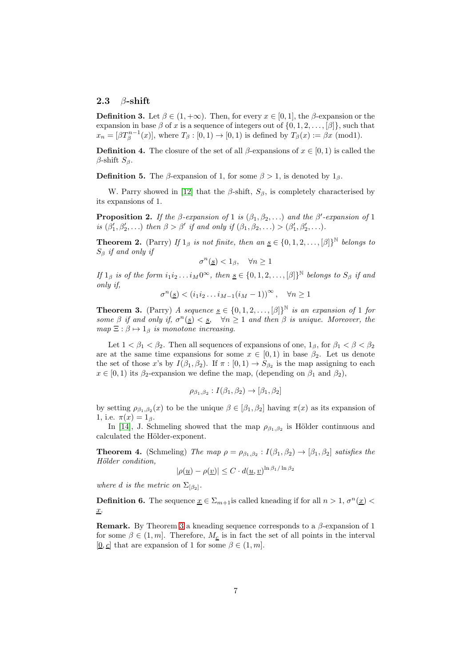### 2.3  $\beta$ -shift

**Definition 3.** Let  $\beta \in (1, +\infty)$ . Then, for every  $x \in [0, 1]$ , the  $\beta$ -expansion or the expansion in base  $\beta$  of x is a sequence of integers out of  $\{0, 1, 2, \ldots, \beta\}$ , such that  $x_n = [\beta T_\beta^{n-1}(x)],$  where  $T_\beta : [0,1) \to [0,1)$  is defined by  $T_\beta(x) := \beta x \pmod{1}$ .

**Definition 4.** The closure of the set of all  $\beta$ -expansions of  $x \in [0,1)$  is called the  $\beta$ -shift  $S_\beta$ .

**Definition 5.** The  $\beta$ -expansion of 1, for some  $\beta > 1$ , is denoted by  $1_{\beta}$ .

W. Parry showed in [12] that the  $\beta$ -shift,  $S_{\beta}$ , is completely characterised by its expansions of 1.

<span id="page-6-1"></span>**Proposition 2.** If the  $\beta$ -expansion of 1 is  $(\beta_1, \beta_2, ...)$  and the  $\beta'$ -expansion of 1 is  $(\beta'_1, \beta'_2, \ldots)$  then  $\beta > \beta'$  if and only if  $(\beta_1, \beta_2, \ldots) > (\beta'_1, \beta'_2, \ldots)$ .

**Theorem 2.** (Parry) If  $1_\beta$  is not finite, then an  $\underline{s} \in \{0, 1, 2, \ldots, [\beta]\}^{\mathbb{N}}$  belongs to  $S_{\beta}$  if and only if

 $\sigma^n(\underline{s}) < 1_\beta, \quad \forall n \ge 1$ 

If  $1_\beta$  is of the form  $i_1 i_2 \ldots i_M 0^\infty$ , then  $\underline{s} \in \{0, 1, 2, \ldots, [\beta]\}^{\mathbb{N}}$  belongs to  $S_\beta$  if and only if,

$$
\sigma^n(\underline{s}) < (i_1 i_2 \dots i_{M-1} (i_M - 1))^{\infty}, \quad \forall n \ge 1
$$

<span id="page-6-0"></span>**Theorem 3.** (Parry) A sequence  $\underline{s} \in \{0, 1, 2, ..., [\beta]\}^{\mathbb{N}}$  is an expansion of 1 for some  $\beta$  if and only if,  $\sigma^n(g) < g$ ,  $\forall n \geq 1$  and then  $\beta$  is unique. Moreover, the  $map \ \Xi : \beta \mapsto 1_{\beta}$  is monotone increasing.

Let  $1 < \beta_1 < \beta_2$ . Then all sequences of expansions of one,  $1_\beta$ , for  $\beta_1 < \beta < \beta_2$ are at the same time expansions for some  $x \in [0,1)$  in base  $\beta_2$ . Let us denote the set of those x's by  $I(\beta_1, \beta_2)$ . If  $\pi : [0, 1) \to S_{\beta_2}$  is the map assigning to each  $x \in [0, 1)$  its  $\beta_2$ -expansion we define the map, (depending on  $\beta_1$  and  $\beta_2$ ),

$$
\rho_{\beta_1,\beta_2}: I(\beta_1,\beta_2) \to [\beta_1,\beta_2]
$$

by setting  $\rho_{\beta_1,\beta_2}(x)$  to be the unique  $\beta \in [\beta_1,\beta_2]$  having  $\pi(x)$  as its expansion of 1, i.e.  $\pi(x) = 1_{\beta}$ .

In [\[14\]](#page-21-4), J. Schmeling showed that the map  $\rho_{\beta_1,\beta_2}$  is Hölder continuous and calculated the Hölder-exponent.

<span id="page-6-2"></span>**Theorem 4.** (Schmeling) The map  $\rho = \rho_{\beta_1,\beta_2} : I(\beta_1,\beta_2) \to [\beta_1,\beta_2]$  satisfies the Hölder condition,

$$
|\rho(\underline{u}) - \rho(\underline{v})| \leq C \cdot d(\underline{u}, \underline{v})^{\ln \beta_1 / \ln \beta_2}
$$

where d is the metric on  $\Sigma_{\lbrack \beta_2 \rbrack}$ .

**Definition 6.** The sequence  $\underline{x} \in \Sigma_{m+1}$  is called kneading if for all  $n > 1$ ,  $\sigma^n(\underline{x})$ x.

**Remark.** By Theorem [3](#page-6-0) a kneading sequence corresponds to a  $\beta$ -expansion of 1 for some  $\beta \in (1, m]$ . Therefore,  $M_{\underline{c}}$  is in fact the set of all points in the interval  $[0, c]$  that are expansion of 1 for some  $\beta \in (1, m]$ .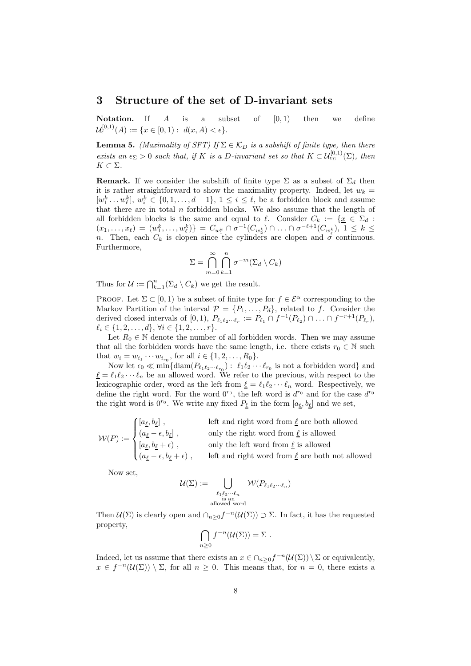### 3 Structure of the set of D-invariant sets

**Notation.** If  $A$  is a subset of  $[0,1)$  then we define  $\mathcal{U}^{[0,1)}_{\epsilon}(A) := \{x \in [0,1): d(x,A) < \epsilon\}.$ 

<span id="page-7-0"></span>**Lemma 5.** (Maximality of SFT) If  $\Sigma \in \mathcal{K}_D$  is a subshift of finite type, then there exists an  $\epsilon_{\Sigma} > 0$  such that, if K is a D-invariant set so that  $K \subset \mathcal{U}^{[0,1)}_{\epsilon_{\Sigma}}(\Sigma)$ , then  $K \subset \Sigma$ .

**Remark.** If we consider the subshift of finite type  $\Sigma$  as a subset of  $\Sigma_d$  then it is rather straightforward to show the maximality property. Indeed, let  $w_k =$  $[w_1^k \dots w_\ell^k], w_i^k \in \{0, 1, \dots, d-1\}, 1 \le i \le \ell$ , be a forbidden block and assume that there are in total  $n$  forbidden blocks. We also assume that the length of all forbidden blocks is the same and equal to  $\ell$ . Consider  $C_k := \{ \underline{x} \in \Sigma_d :$  $(x_1, \ldots, x_\ell) = (w_1^k, \ldots, w_\ell^k) \} = C_{w_1^k} \cap \sigma^{-1}(C_{w_2^k}) \cap \ldots \cap \sigma^{-\ell+1}(C_{w_\ell^k}), 1 \leq k \leq$ n. Then, each  $C_k$  is clopen since the cylinders are clopen and  $\sigma$  continuous. Furthermore,

$$
\Sigma = \bigcap_{m=0}^{\infty} \bigcap_{k=1}^{n} \sigma^{-m}(\Sigma_d \setminus C_k)
$$

Thus for  $\mathcal{U} := \bigcap_{k=1}^n (\Sigma_d \setminus C_k)$  we get the result.

PROOF. Let  $\Sigma \subset [0,1)$  be a subset of finite type for  $f \in \mathcal{E}^{\alpha}$  corresponding to the Markov Partition of the interval  $\mathcal{P} = \{P_1, \ldots, P_d\}$ , related to f. Consider the derived closed intervals of [0, 1),  $P_{\ell_1\ell_2\cdots\ell_r} := P_{\ell_1} \cap f^{-1}(P_{\ell_2}) \cap \ldots \cap f^{-r+1}(P_{\ell_r}),$  $\ell_i \in \{1, 2, \ldots, d\}, \forall i \in \{1, 2, \ldots, r\}.$ 

Let  $R_0 \in \mathbb{N}$  denote the number of all forbidden words. Then we may assume that all the forbidden words have the same length, i.e. there exists  $r_0 \in \mathbb{N}$  such that  $w_i = w_{i_1} \cdots w_{i_{r_0}}$ , for all  $i \in \{1, 2, \ldots, R_0\}$ .

Now let  $\epsilon_0 \ll \min\{\text{diam}(P_{\ell_1\ell_2\ldots\ell_{r_0}}): \ell_1\ell_2\cdots\ell_{r_0} \text{ is not a forbidden word}\}\$ and  $\underline{\ell} = \ell_1 \ell_2 \cdots \ell_n$  be an allowed word. We refer to the previous, with respect to the lexicographic order, word as the left from  $\underline{\ell} = \ell_1 \ell_2 \cdots \ell_n$  word. Respectively, we define the right word. For the word  $0^{r_0}$ , the left word is  $d^{r_0}$  and for the case  $d^{r_0}$ the right word is  $0^{r_0}$ . We write any fixed  $P_{\underline{\ell}}$  in the form  $[a_{\underline{\ell}}, b_{\underline{\ell}}]$  and we set,

$$
\mathcal{W}(P):=\begin{cases} [a_{\underline{\ell}},b_{\underline{\ell}}]\ , & \text{left and right word from $\underline{\ell}$ are both allowed} \\ (a_{\underline{\ell}}-\epsilon,b_{\underline{\ell}}]\ , & \text{only the right word from $\underline{\ell}$ is allowed} \\ [a_{\underline{\ell}},b_{\underline{\ell}}+\epsilon)\ , & \text{only the left word from $\underline{\ell}$ is allowed} \\ (a_{\underline{\ell}}-\epsilon,b_{\underline{\ell}}+\epsilon)\ , & \text{left and right word from $\underline{\ell}$ are both not allowed} \end{cases}
$$

Now set,

$$
\mathcal{U}(\Sigma) := \bigcup_{\substack{\ell_1 \ell_2 \cdots \ell_n \\ \text{is an} \\ \text{allowed word}}} \mathcal{W}(P_{\ell_1 \ell_2 \cdots \ell_n})
$$

Then  $\mathcal{U}(\Sigma)$  is clearly open and  $\cap_{n\geq 0} f^{-n}(\mathcal{U}(\Sigma)) \supset \Sigma$ . In fact, it has the requested property,

$$
\bigcap_{n\geq 0} f^{-n}(\mathcal{U}(\Sigma)) = \Sigma.
$$

Indeed, let us assume that there exists an  $x \in \bigcap_{n\geq 0} f^{-n}(\mathcal{U}(\Sigma))\setminus \Sigma$  or equivalently,  $x \in f^{-n}(\mathcal{U}(\Sigma)) \setminus \Sigma$ , for all  $n \geq 0$ . This means that, for  $n = 0$ , there exists a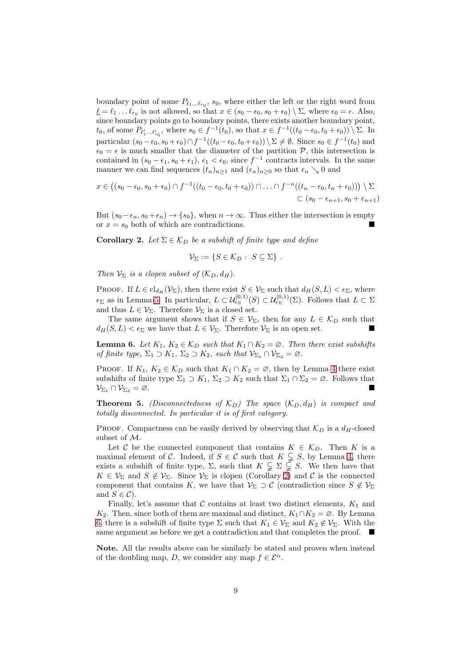boundary point of some  $P_{\ell_1...\ell_{r_0}}$ ,  $s_0$ , where either the left or the right word from  $\underline{\ell} = \ell_1 \dots \ell_{r_0}$  is not allowed, so that  $x \in (s_0 - \epsilon_0, s_0 + \epsilon_0) \setminus \Sigma$ , where  $\epsilon_0 = \epsilon$ . Also, since boundary points go to boundary points, there exists another boundary point,  $t_0$ , of some  $P_{\ell'_1...\ell'_{r_0}}$ , where  $s_0 \in f^{-1}(t_0)$ , so that  $x \in f^{-1}((t_0 - \epsilon_0, t_0 + \epsilon_0)) \setminus \Sigma$ . In particular  $(s_0 - \epsilon_0, s_0 + \epsilon_0) \cap f^{-1}((t_0 - \epsilon_0, t_0 + \epsilon_0)) \setminus \Sigma \neq \emptyset$ . Since  $s_0 \in f^{-1}(t_0)$  and  $\epsilon_0 = \epsilon$  is much smaller that the diameter of the partition  $P$ , this intersection is contained in  $(s_0 - \epsilon_1, s_0 + \epsilon_1)$ ,  $\epsilon_1 < \epsilon_0$ , since  $f^{-1}$  contracts intervals. In the same manner we can find sequences  $(t_n)_{n\geq 1}$  and  $(\epsilon_n)_{n\geq 0}$  so that  $\epsilon_n \searrow 0$  and

$$
x\in ((s_0-\epsilon_0,s_0+\epsilon_0)\cap f^{-1}((t_0-\epsilon_0,t_0+\epsilon_0))\cap\ldots\cap f^{-n}((t_n-\epsilon_0,t_n+\epsilon_0)))\setminus \Sigma
$$
  

$$
\subset (s_0-\epsilon_{n+1},s_0+\epsilon_{n+1})
$$

But  $(s_0 - \epsilon_n, s_0 + \epsilon_n) \rightarrow \{s_0\}$ , when  $n \rightarrow \infty$ . Thus either the intersection is empty or  $x = s_0$  both of which are contradictions.

<span id="page-8-0"></span>**Corollary 2.** Let  $\Sigma \in \mathcal{K}_D$  be a subshift of finite type and define

$$
\mathcal{V}_{\Sigma} := \{ S \in \mathcal{K}_D : S \subseteq \Sigma \} .
$$

Then  $V_{\Sigma}$  is a clopen subset of  $(K_{D}, d_{H})$ .

PROOF. If  $L \in \text{cl}_{d_H}(\mathcal{V}_\Sigma)$ , then there exist  $S \in \mathcal{V}_\Sigma$  such that  $d_H(S, L) < \epsilon_\Sigma$ , where  $\epsilon_{\Sigma}$  as in Lemma [5.](#page-7-0) In particular,  $L \subset \mathcal{U}^{[0,1)}_{\epsilon_{\Sigma}}(S) \subset \mathcal{U}^{[0,1)}_{\epsilon_{\Sigma}}(\Sigma)$ . Follows that  $L \subset \Sigma$ and thus  $L \in \mathcal{V}_{\Sigma}$ . Therefore  $\mathcal{V}_{\Sigma}$  is a closed set.

The same argument shows that if  $S \in V_{\Sigma}$ , then for any  $L \in \mathcal{K}_D$  such that  $d_H(S, L) < \epsilon_{\Sigma}$  we have that  $L \in \mathcal{V}_{\Sigma}$ . Therefore  $\mathcal{V}_{\Sigma}$  is an open set.

<span id="page-8-1"></span>**Lemma 6.** Let  $K_1$ ,  $K_2 \in \mathcal{K}_D$  such that  $K_1 \cap K_2 = \emptyset$ . Then there exist subshifts of finite type,  $\Sigma_1 \supset K_1$ ,  $\Sigma_2 \supset K_2$ , such that  $\mathcal{V}_{\Sigma_1} \cap \mathcal{V}_{\Sigma_2} = \emptyset$ .

PROOF. If  $K_1, K_2 \in \mathcal{K}_D$  such that  $K_1 \cap K_2 = \emptyset$ , then by Lemma [4](#page-4-1) there exist subshifts of finite type  $\Sigma_1 \supset K_1$ ,  $\Sigma_2 \supset K_2$  such that  $\Sigma_1 \cap \Sigma_2 = \emptyset$ . Follows that  $\mathcal{V}_{\Sigma_1} \cap \mathcal{V}_{\Sigma_2} = \varnothing.$ 

**Theorem 5.** (Disconnectedness of  $K_D$ ) The space  $(K_D, d_H)$  is compact and totally disconnected. In particular it is of first category.

PROOF. Compactness can be easily derived by observing that  $\mathcal{K}_D$  is a  $d_H$ -closed subset of M.

Let C be the connected component that contains  $K \in \mathcal{K}_D$ . Then K is a maximal element of C. Indeed, if  $S \in \mathcal{C}$  such that  $K \subsetneq S$ , by Lemma [4,](#page-4-1) there exists a subshift of finite type,  $\Sigma$ , such that  $K \subsetneq \Sigma \subsetneq S$ . We then have that  $K \in \mathcal{V}_{\Sigma}$  and  $S \notin \mathcal{V}_{\Sigma}$ . Since  $\mathcal{V}_{\Sigma}$  is clopen (Corollary [2\)](#page-8-0) and C is the connected component that contains K, we have that  $V_{\Sigma} \supset \mathcal{C}$  (contradiction since  $S \notin V_{\Sigma}$ and  $S \in \mathcal{C}$ ).

Finally, let's assume that  $\mathcal C$  contains at least two distinct elements,  $K_1$  and K<sub>2</sub>. Then, since both of them are maximal and distinct,  $K_1 \cap K_2 = \emptyset$ . By Lemma [6,](#page-8-1) there is a subshift of finite type  $\Sigma$  such that  $K_1 \in V_{\Sigma}$  and  $K_2 \notin V_{\Sigma}$ . With the same argument as before we get a contradiction and that completes the proof.

Note. All the results above can be similarly be stated and proven when instead of the doubling map, D, we consider any map  $f \in \mathcal{E}^{\alpha}$ .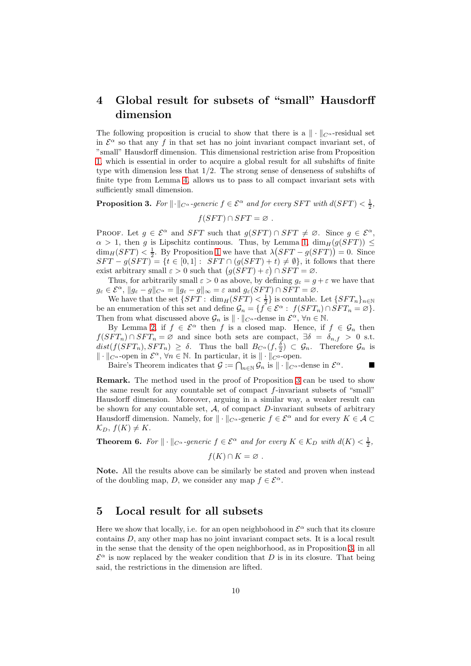# 4 Global result for subsets of "small" Hausdorff dimension

The following proposition is crucial to show that there is a  $\|\cdot\|_{C^{\alpha}}$ -residual set in  $\mathcal{E}^{\alpha}$  so that any f in that set has no joint invariant compact invariant set, of "small" Hausdorff dimension. This dimensional restriction arise from Proposition [1,](#page-3-1) which is essential in order to acquire a global result for all subshifts of finite type with dimension less that 1/2. The strong sense of denseness of subshifts of finite type from Lemma [4,](#page-4-1) allows us to pass to all compact invariant sets with sufficiently small dimension.

<span id="page-9-0"></span>**Proposition 3.** For  $\|\cdot\|_{C^{\alpha}}$ -generic  $f \in \mathcal{E}^{\alpha}$  and for every SFT with  $d(SFT) < \frac{1}{2}$ ,

 $f(SFT) \cap SFT = \emptyset$ .

PROOF. Let  $g \in \mathcal{E}^{\alpha}$  and SFT such that  $g(SFT) \cap SFT \neq \emptyset$ . Since  $g \in \mathcal{E}^{\alpha}$ ,  $\alpha > 1$ , then g is Lipschitz continuous. Thus, by Lemma [1,](#page-4-2)  $\dim_H(g(SFT)) \leq$  $\dim_H(SFT) < \frac{1}{2}$ . By Proposition [1](#page-3-1) we have that  $\lambda(SFT - g(SFT)) = 0$ . Since  $SFT - g(SFT) = \{t \in [0,1]: SFT \cap (g(SFT) + t) \neq \emptyset\}$ , it follows that there exist arbitrary small  $\varepsilon > 0$  such that  $(g(SFT) + \varepsilon) \cap SFT = \varnothing$ .

Thus, for arbitrarily small  $\varepsilon > 0$  as above, by defining  $g_{\varepsilon} = g + \varepsilon$  we have that  $g_{\varepsilon} \in \mathcal{E}^{\alpha}$ ,  $||g_{\varepsilon} - g||_{C^{\alpha}} = ||g_{\varepsilon} - g||_{\infty} = \varepsilon$  and  $g_{\varepsilon}(SFT) \cap SFT = \varnothing$ .

We have that the set  $\{SFT: \dim_H(SFT) < \frac{1}{2}\}$  is countable. Let  $\{SFT_n\}_{n\in\mathbb{N}}$ be an enumeration of this set and define  $\mathcal{G}_n = \{f \in \mathcal{E}^\alpha : f(SFT_n) \cap SFT_n = \varnothing\}.$ Then from what discussed above  $\mathcal{G}_n$  is  $\|\cdot\|_{C^\alpha}$ -dense in  $\mathcal{E}^\alpha$ ,  $\forall n \in \mathbb{N}$ .

By Lemma [2,](#page-4-3) if  $f \in \mathcal{E}^{\alpha}$  then f is a closed map. Hence, if  $f \in \mathcal{G}_n$  then  $f(SFT_n) \cap SFT_n = \emptyset$  and since both sets are compact,  $\exists \delta = \delta_{n,f} > 0$  s.t.  $dist(f(SFT_n), SFT_n) \geq \delta$ . Thus the ball  $B_{C^{\alpha}}(f, \frac{\delta}{2}) \subset \mathcal{G}_n$ . Therefore  $\mathcal{G}_n$  is  $\|\cdot\|_{C^{\alpha}}$ -open in  $\mathcal{E}^{\alpha}$ ,  $\forall n \in \mathbb{N}$ . In particular, it is  $\|\cdot\|_{C^0}$ -open.

Baire's Theorem indicates that  $\mathcal{G} := \bigcap_{n \in \mathbb{N}} \mathcal{G}_n$  is  $\|\cdot\|_{C^\alpha}$ -dense in  $\mathcal{E}^\alpha$ .

Remark. The method used in the proof of Proposition [3](#page-9-0) can be used to show the same result for any countable set of compact f-invariant subsets of "small" Hausdorff dimension. Moreover, arguing in a similar way, a weaker result can be shown for any countable set,  $A$ , of compact  $D$ -invariant subsets of arbitrary Hausdorff dimension. Namely, for  $\|\cdot\|_{C^{\alpha}}$ -generic  $f \in \mathcal{E}^{\alpha}$  and for every  $K \in \mathcal{A} \subset$  $\mathcal{K}_D, f(K) \neq K.$ 

**Theorem 6.** For  $\|\cdot\|_{C^{\alpha}}$ -generic  $f \in \mathcal{E}^{\alpha}$  and for every  $K \in \mathcal{K}_D$  with  $d(K) < \frac{1}{2}$ ,

$$
f(K)\cap K=\varnothing.
$$

Note. All the results above can be similarly be stated and proven when instead of the doubling map, D, we consider any map  $f \in \mathcal{E}^{\alpha}$ .

# 5 Local result for all subsets

Here we show that locally, i.e. for an open neighbohood in  $\mathcal{E}^{\alpha}$  such that its closure contains D, any other map has no joint invariant compact sets. It is a local result in the sense that the density of the open neighborhood, as in Proposition [3,](#page-9-0) in all  $\mathcal{E}^{\alpha}$  is now replaced by the weaker condition that D is in its closure. That being said, the restrictions in the dimension are lifted.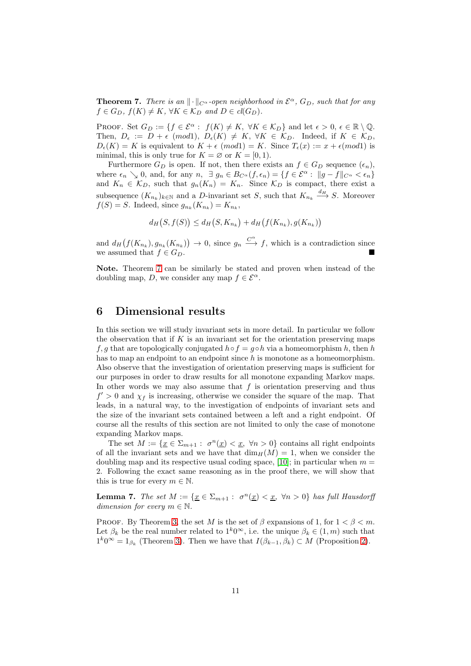<span id="page-10-0"></span>**Theorem 7.** There is an  $\|\cdot\|_{C^{\alpha}}$ -open neighborhood in  $\mathcal{E}^{\alpha}$ ,  $G_D$ , such that for any  $f \in G_D$ ,  $f(K) \neq K$ ,  $\forall K \in \mathcal{K}_D$  and  $D \in cl(G_D)$ .

PROOF. Set  $G_D := \{f \in \mathcal{E}^{\alpha} : f(K) \neq K, \ \forall K \in \mathcal{K}_D\}$  and let  $\epsilon > 0, \ \epsilon \in \mathbb{R} \setminus \mathbb{Q}$ . Then,  $D_{\epsilon} := D + \epsilon \pmod{D_{\epsilon}(K)} \neq K$ ,  $\forall K \in \mathcal{K}_D$ . Indeed, if  $K \in \mathcal{K}_D$ ,  $D_{\epsilon}(K) = K$  is equivalent to  $K + \epsilon$  (mod1) = K. Since  $T_{\epsilon}(x) := x + \epsilon \pmod{1}$  is minimal, this is only true for  $K = \emptyset$  or  $K = [0, 1)$ .

Furthermore  $G_D$  is open. If not, then there exists an  $f \in G_D$  sequence  $(\epsilon_n)$ , where  $\epsilon_n \searrow 0$ , and, for any  $n, \exists g_n \in B_{C^{\alpha}}(f, \epsilon_n) = \{f \in \mathcal{E}^{\alpha} : ||g - f||_{C^{\alpha}} < \epsilon_n\}$ and  $K_n \in \mathcal{K}_D$ , such that  $g_n(K_n) = K_n$ . Since  $\mathcal{K}_D$  is compact, there exist a subsequence  $(K_{n_k})_{k \in \mathbb{N}}$  and a D-invariant set S, such that  $K_{n_k} \stackrel{d_H}{\longrightarrow} S$ . Moreover  $f(S) = S$ . Indeed, since  $g_{n_k}(K_{n_k}) = K_{n_k}$ ,

$$
d_H(S, f(S)) \le d_H(S, K_{n_k}) + d_H(f(K_{n_k}), g(K_{n_k}))
$$

and  $d_H(f(K_{n_k}), g_{n_k}(K_{n_k})) \to 0$ , since  $g_n \xrightarrow{C^{\alpha}} f$ , which is a contradiction since we assumed that  $f \in G_D$ .

Note. Theorem [7](#page-10-0) can be similarly be stated and proven when instead of the doubling map, D, we consider any map  $f \in \mathcal{E}^{\alpha}$ .

### 6 Dimensional results

In this section we will study invariant sets in more detail. In particular we follow the observation that if  $K$  is an invariant set for the orientation preserving maps f, g that are topologically conjugated  $h \circ f = g \circ h$  via a homeomorphism h, then h has to map an endpoint to an endpoint since  $h$  is monotone as a homeomorphism. Also observe that the investigation of orientation preserving maps is sufficient for our purposes in order to draw results for all monotone expanding Markov maps. In other words we may also assume that  $f$  is orientation preserving and thus  $f' > 0$  and  $\chi_f$  is increasing, otherwise we consider the square of the map. That leads, in a natural way, to the investigation of endpoints of invariant sets and the size of the invariant sets contained between a left and a right endpoint. Of course all the results of this section are not limited to only the case of monotone expanding Markov maps.

The set  $M := \{ \underline{x} \in \Sigma_{m+1} : \sigma^n(\underline{x}) < \underline{x}, \forall n > 0 \}$  contains all right endpoints of all the invariant sets and we have that  $\dim_H(M) = 1$ , when we consider the doubling map and its respective usual coding space, [10]; in particular when  $m =$ 2. Following the exact same reasoning as in the proof there, we will show that this is true for every  $m \in \mathbb{N}$ .

<span id="page-10-1"></span>**Lemma 7.** The set  $M := \{ \underline{x} \in \Sigma_{m+1} : \sigma^n(\underline{x}) < \underline{x}, \forall n > 0 \}$  has full Hausdorff dimension for every  $m \in \mathbb{N}$ .

PROOF. By Theorem [3,](#page-6-0) the set M is the set of  $\beta$  expansions of 1, for  $1 < \beta < m$ . Let  $\beta_k$  be the real number related to  $1^k0^{\infty}$ , i.e. the unique  $\beta_k \in (1, m)$  such that  $1^k0^{\infty} = 1_{\beta_k}$  (Theorem [3\)](#page-6-0). Then we have that  $I(\beta_{k-1}, \beta_k) \subset M$  (Proposition [2\)](#page-6-1).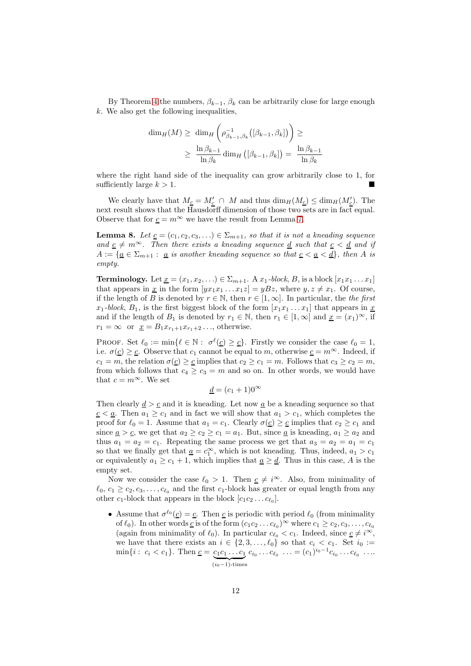By Theorem [4](#page-6-2) the numbers,  $\beta_{k-1}$ ,  $\beta_k$  can be arbitrarily close for large enough k. We also get the following inequalities,

$$
\dim_H(M) \ge \dim_H\left(\rho^{-1}_{\beta_{k-1},\beta_k}([\beta_{k-1},\beta_k])\right) \ge
$$
  

$$
\ge \frac{\ln \beta_{k-1}}{\ln \beta_k} \dim_H((\beta_{k-1},\beta_k]) = \frac{\ln \beta_{k-1}}{\ln \beta_k}
$$

where the right hand side of the inequality can grow arbitrarily close to 1, for sufficiently large  $k > 1$ .

We clearly have that  $M_{\underline{c}} = M'_{\underline{c}} \cap M$  and thus  $\dim_H(M_{\underline{c}}) \leq \dim_H(M'_{\underline{c}})$ . The next result shows that the Hausdorff dimension of those two sets are in fact equal. Observe that for  $c = m^{\infty}$  we have the result from Lemma [7.](#page-10-1)

<span id="page-11-0"></span>**Lemma 8.** Let  $\underline{c} = (c_1, c_2, c_3, \ldots) \in \Sigma_{m+1}$ , so that it is not a kneading sequence and  $c \neq m^{\infty}$ . Then there exists a kneading sequence <u>d</u> such that  $c < d$  and if  $A := \{ \underline{a} \in \Sigma_{m+1} : a \text{ is another kneading sequence so that } \underline{c} < \underline{a} < \underline{d} \},\$ then A is empty.

**Terminology.** Let  $\underline{x} = (x_1, x_2, ...) \in \Sigma_{m+1}$ . A  $x_1$ -block, B, is a block  $[x_1x_1 \ldots x_1]$ that appears in <u>x</u> in the form  $[yx_1x_1 \ldots x_1z] = yBz$ , where  $y, z \neq x_1$ . Of course, if the length of B is denoted by  $r \in \mathbb{N}$ , then  $r \in [1,\infty]$ . In particular, the the first  $x_1$ -block,  $B_1$ , is the first biggest block of the form  $[x_1x_1 \ldots x_1]$  that appears in  $\underline{x}$ and if the length of  $B_1$  is denoted by  $r_1 \in \mathbb{N}$ , then  $r_1 \in [1,\infty]$  and  $\underline{x} = (x_1)^{\infty}$ , if  $r_1 = \infty$  or  $\underline{x} = B_1 x_{r_1+1} x_{r_1+2} \dots$ , otherwise.

PROOF. Set  $\ell_0 := \min\{\ell \in \mathbb{N} : \sigma^{\ell}(\underline{c}) \geq \underline{c}\}.$  Firstly we consider the case  $\ell_0 = 1$ , i.e.  $\sigma(\underline{c}) \geq \underline{c}$ . Observe that  $c_1$  cannot be equal to m, otherwise  $\underline{c} = m^{\infty}$ . Indeed, if  $c_1 = m$ , the relation  $\sigma(c) > c$  implies that  $c_2 > c_1 = m$ . Follows that  $c_3 > c_2 = m$ , from which follows that  $c_4 \geq c_3 = m$  and so on. In other words, we would have that  $c = m^{\infty}$ . We set

$$
\underline{d} = (c_1 + 1)0^{\infty}
$$

Then clearly  $\underline{d} > \underline{c}$  and it is kneading. Let now  $\underline{a}$  be a kneading sequence so that  $c \leq a$ . Then  $a_1 \geq c_1$  and in fact we will show that  $a_1 > c_1$ , which completes the proof for  $\ell_0 = 1$ . Assume that  $a_1 = c_1$ . Clearly  $\sigma(\underline{c}) \geq \underline{c}$  implies that  $c_2 \geq c_1$  and since  $\underline{a} > \underline{c}$ , we get that  $a_2 \geq c_2 \geq c_1 = a_1$ . But, since  $\underline{a}$  is kneading,  $a_1 \geq a_2$  and thus  $a_1 = a_2 = c_1$ . Repeating the same process we get that  $a_3 = a_2 = a_1 = c_1$ so that we finally get that  $\underline{a} = c_1^{\infty}$ , which is not kneading. Thus, indeed,  $a_1 > c_1$ or equivalently  $a_1 \geq c_1 + 1$ , which implies that  $\underline{a} \geq \underline{d}$ . Thus in this case, A is the empty set.

Now we consider the case  $\ell_0 > 1$ . Then  $c \neq i^{\infty}$ . Also, from minimality of  $\ell_0, c_1 \geq c_2, c_3, \ldots, c_{\ell_0}$  and the first  $c_1$ -block has greater or equal length from any other  $c_1$ -block that appears in the block  $[c_1c_2 \ldots c_{\ell_0}].$ 

• Assume that  $\sigma^{\ell_0}(\underline{c}) = \underline{c}$ . Then  $\underline{c}$  is periodic with period  $\ell_0$  (from minimality of  $\ell_0$ ). In other words <u>c</u> is of the form  $(c_1c_2 \ldots c_{\ell_0})^{\infty}$  where  $c_1 \geq c_2, c_3, \ldots, c_{\ell_0}$ (again from minimality of  $\ell_0$ ). In particular  $c_{\ell_0} < c_1$ . Indeed, since  $\underline{c} \neq i^{\infty}$ , we have that there exists an  $i \in \{2, 3, \ldots, \ell_0\}$  so that  $c_i < c_1$ . Set  $i_0 :=$  $\min\{i: c_i < c_1\}$ . Then  $\underline{c} = c_1c_1 \ldots c_1 c_{i_0} \ldots c_{\ell_0} \ldots = (c_1)^{i_0-1}c_{i_0} \ldots c_{\ell_0} \ldots$  $(i<sub>0</sub>-1)-times$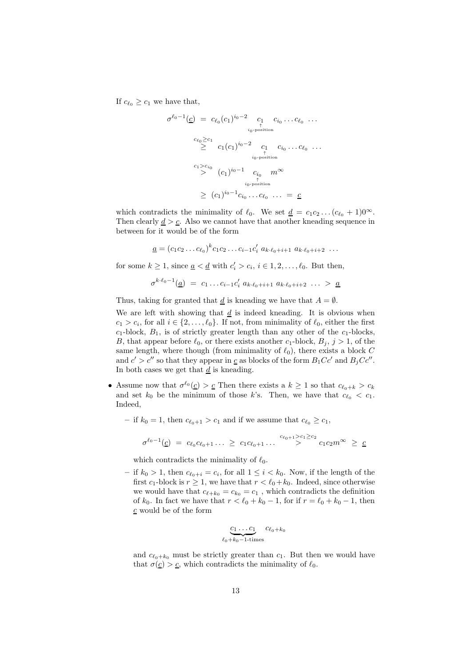If  $c_{\ell_0} \geq c_1$  we have that,

$$
\sigma^{\ell_0 - 1}(\underline{c}) = c_{\ell_0}(c_1)^{i_0 - 2} \underset{\substack{0 \text{ -position} \\ \uparrow \\ 10^{-\text{position}} \\ \geq}} c_1 \underset{\substack{c_{\ell_0} \geq c_1 \\ \geq} c_1(c_1)^{i_0 - 2} \\ \text{ - c_1} \underset{\substack{c_1 \\ \uparrow \\ 10^{-\text{position} \\ \uparrow \\ \text{ - position} \\ \geq}} c_1 \underset{\substack{c_{i_0} \\ \uparrow \\ c_1 \text{ - position} \\ \text{ - position} \\ \geq} c_1} c_1 \underset{\substack{c_{i_0} \\ \uparrow \\ \geq} c_1}{c_1} \underset{\substack{c_{i_0} \\ \uparrow \\ c_1 \text{ - position} \\ \geq} c_1} c_1 \underset{\substack{c_{i_0} \\ \downarrow \\ \geq} c_1}{c_1} \underset{\substack{c_{i_0} \\ \downarrow \\ c_1 \text{ - position} \\ \geq} c_1} c_1 \underset{\substack{c_{i_0} \\ \downarrow \\ \geq} c_1}{c_1} \underset{\substack{c_{i_0} \\ \downarrow \\ \geq} c_1}} c_1 \underset{\substack{c_{i_0} \\ \downarrow \\ \geq} c_1}{c_1} \underset{\substack{c_{i_0} \\ \downarrow \\ \geq} c_1} c_1 \underset{\substack{c_{i_0} \\ \downarrow \\ \geq} c_1} c_1 \underset{\substack{c_{i_0} \\ \downarrow \\ \geq} c_1} c_1 \underset{\substack{c_{i_0} \\ \downarrow \\ \geq} c_1} c_1 \underset{\substack{c_{i_0} \\ \downarrow \\ \geq} c_1}{c_1} \underset{\substack{c_{i_0} \\ \downarrow \\ \geq} c_1}{c_1} \underset{\substack{c_{i_0} \\ \downarrow \\ \geq} c_1}{c_1} \underset{\substack{c_{i_0} \\ \downarrow \\ \geq} c_1}{c_1} \underset{\substack{c_{i_0} \\ \downarrow \\ \geq} c_1}{c_1} \underset{\substack{c_{i_0} \\ \downarrow \\ \geq} c_1}{c_1} \underset{\substack{c_{i_0} \\ \downarrow \\ \geq} c_1}{c
$$

which contradicts the minimality of  $\ell_0$ . We set  $\underline{d} = c_1c_2 \dots (c_{\ell_0} + 1)0^{\infty}$ . Then clearly  $d > c$ . Also we cannot have that another kneading sequence in between for it would be of the form

$$
\underline{a} = (c_1c_2 \dots c_{\ell_0})^k c_1c_2 \dots c_{i-1}c'_i \ a_{k \cdot \ell_0 + i + 1} \ a_{k \cdot \ell_0 + i + 2} \ \dots
$$

for some  $k \ge 1$ , since  $\underline{a} < \underline{d}$  with  $c'_i > c_i$ ,  $i \in 1, 2, \ldots, \ell_0$ . But then,

$$
\sigma^{k \cdot \ell_0 - 1}(\underline{a}) = c_1 \ldots c_{i-1} c'_i \ a_{k \cdot \ell_0 + i + 1} \ a_{k \cdot \ell_0 + i + 2} \ \ldots \ > \ \underline{a}
$$

Thus, taking for granted that  $\underline{d}$  is kneading we have that  $A = \emptyset$ .

We are left with showing that  $\underline{d}$  is indeed kneading. It is obvious when  $c_1 > c_i$ , for all  $i \in \{2, ..., \ell_0\}$ . If not, from minimality of  $\ell_0$ , either the first  $c_1$ -block,  $B_1$ , is of strictly greater length than any other of the  $c_1$ -blocks, B, that appear before  $\ell_0$ , or there exists another  $c_1$ -block,  $B_j$ ,  $j > 1$ , of the same length, where though (from minimality of  $\ell_0$ ), there exists a block C and  $c' > c''$  so that they appear in  $\underline{c}$  as blocks of the form  $B_1Cc'$  and  $B_jCc''$ . In both cases we get that  $d$  is kneading.

- Assume now that  $\sigma^{\ell_0}(\underline{c}) > \underline{c}$  Then there exists a  $k \geq 1$  so that  $c_{\ell_0+k} > c_k$ and set  $k_0$  be the minimum of those k's. Then, we have that  $c_{\ell_0} < c_1$ . Indeed,
	- if  $k_0 = 1$ , then  $c_{\ell_0+1} > c_1$  and if we assume that  $c_{\ell_0} \geq c_1$ ,

$$
\sigma^{\ell_0-1}(\underline{c}) \,\, = \,\, c_{\ell_0} c_{\ell_0+1} \ldots \,\, \geq \,\, c_1 c_{\ell_0+1} \ldots \, \stackrel{c_{\ell_0+1} > c_1 \geq c_2}{>} \, c_1 c_2 m^\infty \,\, \geq \,\, \underline{c}
$$

which contradicts the minimality of  $\ell_0$ .

 $-$  if  $k_0 > 1$ , then  $c_{\ell_0+i} = c_i$ , for all  $1 \leq i < k_0$ . Now, if the length of the first  $c_1$ -block is  $r \geq 1$ , we have that  $r < \ell_0 + k_0$ . Indeed, since otherwise we would have that  $c_{\ell+k_0} = c_{k_0} = c_1$ , which contradicts the definition of  $k_0$ . In fact we have that  $r < \ell_0 + k_0 - 1$ , for if  $r = \ell_0 + k_0 - 1$ , then  $c$  would be of the form

$$
\underbrace{c_1 \dots c_1}_{\ell_0 + k_0 - 1\text{-times}} c_{\ell_0 + k_0}
$$

and  $c_{\ell_0+k_0}$  must be strictly greater than  $c_1$ . But then we would have that  $\sigma(\underline{c}) > \underline{c}$ , which contradicts the minimality of  $\ell_0$ .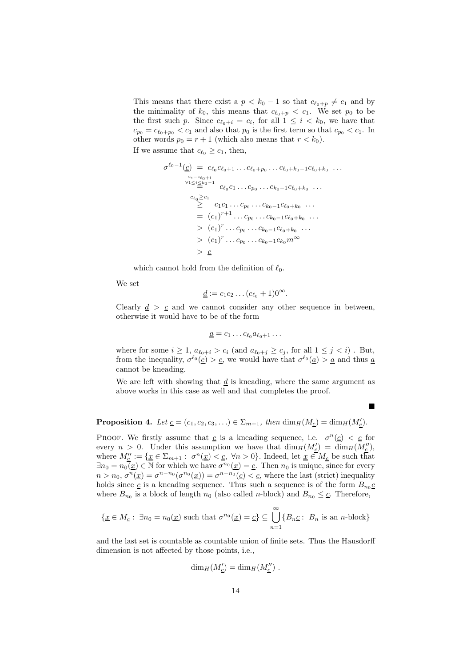This means that there exist a  $p < k_0 - 1$  so that  $c_{\ell_0+p} \neq c_1$  and by the minimality of  $k_0$ , this means that  $c_{\ell_0+p} < c_1$ . We set  $p_0$  to be the first such p. Since  $c_{\ell_0+i} = c_i$ , for all  $1 \leq i \leq k_0$ , we have that  $c_{p_0} = c_{\ell_0+p_0} < c_1$  and also that  $p_0$  is the first term so that  $c_{p_0} < c_1$ . In other words  $p_0 = r + 1$  (which also means that  $r < k_0$ ). If we assume that  $c_{\ell_0} \geq c_1$ , then,

$$
\sigma^{\ell_0-1}(\underline{c}) = c_{\ell_0}c_{\ell_0+1}\dots c_{\ell_0+p_0}\dots c_{\ell_0+k_0-1}c_{\ell_0+k_0}\dots \n\cdots \n\downarrow c_i = c_{\ell_0+i} \n\downarrow c_{\ell_0}c_1\dots c_{p_0}\dots c_{k_0-1}c_{\ell_0+k_0}\dots \n\cdots \n\cdots \n\cdots \n\vdots \n\cdots \n\vdots \n\cdots \n\cdots \n\cdots \n\cdots \n\cdots \n\cdots \n\cdots \n\cdots \n\cdots \n\cdots \n\cdots \n\cdots \n\cdots \n\cdots \n\cdots \n\cdots \n\cdots \n\cdots \n\cdots \n\cdots \n\cdots \n\cdots \n\cdots \n\cdots \n\cdots \n\cdots \n\cdots \n\cdots \n\cdots \n\cdots \n\cdots \n\cdots \n\cdots \n\cdots \n\cdots \n\cdots \n\cdots \n\cdots \n\cdots \n\cdots \n\cdots \n\cdots \n\cdots \n\cdots \n\cdots \n\cdots \n\cdots \n\cdots \n\cdots \n\cdots \n\cdots \n\cdots \n\cdots \n\cdots \n\cdots \n\cdots \n\cdots \n\cdots \n\cdots \n\cdots \n\cdots \n\cdots \n\cdots \n\cdots \n\cdots \n\cdots \n\cdots \n\cdots \n\cdots \n\cdots \n\cdots \n\cdots \n\cdots \n\cdots \n\cdots \n\cdots \n\cdots \n\cdots \n\cdots \n\cdots \n\cdots \n\cdots \n\cdots
$$

which cannot hold from the definition of  $\ell_0$ .

We set

$$
\underline{d}:=c_1c_2\ldots(c_{\ell_0}+1)0^{\infty}.
$$

Clearly  $d > c$  and we cannot consider any other sequence in between, otherwise it would have to be of the form

$$
\underline{a}=c_1\ldots c_{\ell_0}a_{\ell_0+1}\ldots
$$

where for some  $i \geq 1$ ,  $a_{\ell_0+i} > c_i$  (and  $a_{\ell_0+j} \geq c_j$ , for all  $1 \leq j < i$ ). But, from the inequality,  $\sigma^{\ell_0}(\underline{c}) > \underline{c}$ , we would have that  $\sigma^{\ell_0}(\underline{a}) > \underline{a}$  and thus  $\underline{a}$ cannot be kneading.

We are left with showing that  $\underline{d}$  is kneading, where the same argument as above works in this case as well and that completes the proof.

 $\blacksquare$ 

<span id="page-13-0"></span>**Proposition 4.** Let  $\underline{c} = (c_1, c_2, c_3, \ldots) \in \Sigma_{m+1}$ , then  $\dim_H(M_{\underline{c}}) = \dim_H(M_{\underline{c}}')$ .

PROOF. We firstly assume that  $c$  is a kneading sequence, i.e.  $\sigma^n(c) < c$  for every  $n > 0$ . Under this assumption we have that  $\dim_H(M'_{\underline{c}}) = \dim_H(M''_{\underline{c}})$ , where  $M''_{\underline{c}} := \{ \underline{x} \in \Sigma_{m+1} : \sigma^n(\underline{x}) < \underline{c}, \forall n > 0 \}.$  Indeed, let  $\underline{x} \in M_{\underline{c}}$  be such that  $\exists n_0 = n_0(\underline{x}) \in \mathbb{N}$  for which we have  $\sigma^{n_0}(\underline{x}) = \underline{c}$ . Then  $n_0$  is unique, since for every  $n > n_0$ ,  $\sigma^n(\underline{x}) = \sigma^{n-n_0}(\sigma^{n_0}(\underline{x})) = \sigma^{n-n_0}(\underline{c}) < \underline{c}$ , where the last (strict) inequality holds since  $\underline{c}$  is a kneading sequence. Thus such a sequence is of the form  $B_{n_0}\underline{c}$ where  $B_{n_0}$  is a block of length  $n_0$  (also called n-block) and  $B_{n_0} \leq \underline{c}$ . Therefore,

$$
\{ \underline{x} \in M_{\underline{c}} : \exists n_0 = n_0(\underline{x}) \text{ such that } \sigma^{n_0}(\underline{x}) = \underline{c} \} \subseteq \bigcup_{n=1}^{\infty} \{ B_n \underline{c} : B_n \text{ is an } n\text{-block} \}
$$

and the last set is countable as countable union of finite sets. Thus the Hausdorff dimension is not affected by those points, i.e.,

$$
\dim_H(M'_{\underline{c}}) = \dim_H(M''_{\underline{c}}) .
$$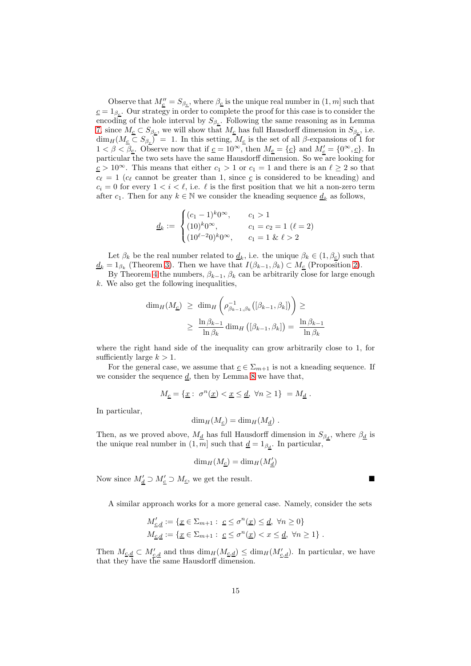Observe that  $M''_{\underline{c}} = S_{\beta_{\underline{c}}}$ , where  $\beta_{\underline{c}}$  is the unique real number in  $(1, m]$  such that  $c = 1_{\beta_c}$ . Our strategy in order to complete the proof for this case is to consider the encoding of the hole interval by  $S_{\beta_c}$ . Following the same reasoning as in Lemma [7,](#page-10-1) since  $M_{\underline{c}} \subset S_{\beta_c}$ , we will show that  $M_{\underline{c}}$  has full Hausdorff dimension in  $S_{\beta_c}$ , i.e.  $\dim_H(M_{\underline{c}} \subset S_{\beta_c}) = 1$ . In this setting,  $M_{\underline{c}}$  is the set of all  $\beta$ -expansions of 1 for  $1 < \beta < \overline{\beta_{\underline{c}}}$ . Observe now that if  $\underline{c} = 10^{\infty}$ , then  $M_{\underline{c}} = {\underline{c}}$  and  $M'_{\underline{c}} = {0^{\infty}, \underline{c}}$ . In particular the two sets have the same Hausdorff dimension. So we are looking for  $c > 10^{\infty}$ . This means that either  $c_1 > 1$  or  $c_1 = 1$  and there is an  $\ell \geq 2$  so that  $c_{\ell} = 1$  ( $c_{\ell}$  cannot be greater than 1, since  $c_{\ell}$  is considered to be kneading) and  $c_i = 0$  for every  $1 \lt i \lt \ell$ , i.e.  $\ell$  is the first position that we hit a non-zero term after  $c_1$ . Then for any  $k \in \mathbb{N}$  we consider the kneading sequence  $\underline{d}_k$  as follows,

$$
\underline{d}_k := \begin{cases}\n(c_1 - 1)^k 0^\infty, & c_1 > 1 \\
(10)^k 0^\infty, & c_1 = c_2 = 1 \ (\ell = 2) \\
(10^{\ell - 2} 0)^k 0^\infty, & c_1 = 1 \ \& \ \ell > 2\n\end{cases}
$$

Let  $\beta_k$  be the real number related to  $\underline{d}_k$ , i.e. the unique  $\beta_k \in (1, \beta_{\underline{c}})$  such that  $\underline{d}_k = 1_{\beta_k}$  (Theorem [3\)](#page-6-0). Then we have that  $I(\beta_{k-1}, \beta_k) \subset M_{\underline{c}}$  (Proposition [2\)](#page-6-1).

By Theorem [4](#page-6-2) the numbers,  $\beta_{k-1}$ ,  $\beta_k$  can be arbitrarily close for large enough  $k$ . We also get the following inequalities,

$$
\dim_H(M_{\underline{c}}) \geq \dim_H \left( \rho_{\beta_{k-1},\beta_k}^{-1}([\beta_{k-1},\beta_k]) \right) \geq
$$
  

$$
\geq \frac{\ln \beta_{k-1}}{\ln \beta_k} \dim_H \left( [\beta_{k-1},\beta_k] \right) = \frac{\ln \beta_{k-1}}{\ln \beta_k}
$$

where the right hand side of the inequality can grow arbitrarily close to 1, for sufficiently large  $k > 1$ .

For the general case, we assume that  $\underline{c} \in \Sigma_{m+1}$  is not a kneading sequence. If we consider the sequence  $\underline{d}$ , then by Lemma [8](#page-11-0) we have that,

$$
M_{\underline{c}} = \{ \underline{x} : \sigma^n(\underline{x}) < \underline{x} \leq \underline{d}, \ \forall n \geq 1 \} = M_{\underline{d}} \, .
$$

In particular,

$$
\dim_H(M_{\underline{c}}) = \dim_H(M_{\underline{d}}) .
$$

Then, as we proved above,  $M_{\underline{d}}$  has full Hausdorff dimension in  $S_{\beta_{\underline{d}}},$  where  $\beta_{\underline{d}}$  is the unique real number in  $(1, m]$  such that  $\underline{d} = 1_{\beta_d}$ . In particular,

$$
\dim_H(M_{\underline{c}}) = \dim_H(M_{\underline{d}}')
$$

Now since  $M'_{\underline{d}} \supset M'_{\underline{c}} \supset M_{\underline{c}}$ , we get the result.

A similar approach works for a more general case. Namely, consider the sets

$$
M'_{\underline{c},\underline{d}} := \{ \underline{x} \in \Sigma_{m+1} : \ \underline{c} \le \sigma^n(\underline{x}) \le \underline{d}, \ \forall n \ge 0 \}
$$
  

$$
M_{\underline{c},\underline{d}} := \{ \underline{x} \in \Sigma_{m+1} : \ \underline{c} \le \sigma^n(\underline{x}) < x \le \underline{d}, \ \forall n \ge 1 \} \ .
$$

Then  $M_{\underline{c},\underline{d}} \subset M'_{\underline{c},\underline{d}}$  and thus  $\dim_H(M_{\underline{c},\underline{d}}) \leq \dim_H(M'_{\underline{c},\underline{d}})$ . In particular, we have that they have the same Hausdorff dimension.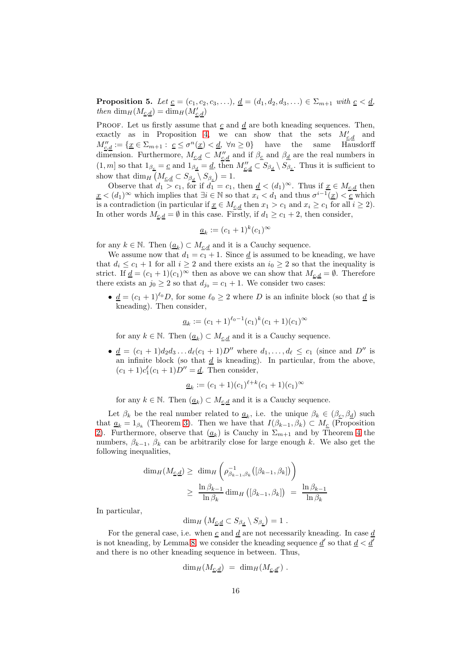<span id="page-15-0"></span>**Proposition 5.** Let  $\underline{c} = (c_1, c_2, c_3, \ldots), \underline{d} = (d_1, d_2, d_3, \ldots) \in \Sigma_{m+1}$  with  $\underline{c} < \underline{d}$ , then  $\dim_H(M_{\underline{c},\underline{d}}) = \dim_H(M'_{\underline{c},\underline{d}})$ 

PROOF. Let us firstly assume that  $\underline{c}$  and  $\underline{d}$  are both kneading sequences. Then, exactly as in Proposition [4,](#page-13-0) we can show that the sets  $M'_{\underline{c},\underline{d}}$  and  $M''_{\underline{c},\underline{d}} := \{ \underline{x} \in \Sigma_{m+1} : \underline{c} \leq \sigma^n(\underline{x}) < \underline{d}, \ \forall n \geq 0 \}$  have the same Hausdorff dimension. Furthermore,  $M_{\underline{c},\underline{d}} \subset M''_{\underline{c},\underline{d}}$  and if  $\beta_{\underline{c}}$  and  $\beta_{\underline{d}}$  are the real numbers in  $(1, m]$  so that  $1_{\beta_{\underline{c}}} = \underline{c}$  and  $1_{\beta_{\underline{d}}} = \underline{d}$ , then  $M''_{\underline{c}, \underline{d}} \subset S_{\beta_{\underline{d}}} \setminus S_{\beta_{\underline{c}}}$ . Thus it is sufficient to show that  $\dim_H \left( M_{\underline{c},\underline{d}} \subset S_{\beta_d} \setminus S_{\beta_c} \right) = 1.$ 

Observe that  $d_1 > c_1$ , for if  $d_1 = c_1$ , then  $\underline{d} < (d_1)^\infty$ . Thus if  $\underline{x} \in M_{\underline{c},\underline{d}}$  then  $\underline{x}$  <  $(d_1)^\infty$  which implies that  $\exists i \in \mathbb{N}$  so that  $x_i < d_1$  and thus  $\sigma^{i-1}(\underline{x}) < \underline{c}$  which is a contradiction (in particular if  $\underline{x} \in M_{c,d}$  then  $x_1 > c_1$  and  $x_i \geq c_1$  for all  $i \geq 2$ ). In other words  $M_{\underline{c},\underline{d}} = \emptyset$  in this case. Firstly, if  $d_1 \geq c_1 + 2$ , then consider,

$$
\underline{a}_k := (c_1 + 1)^k (c_1)^\infty
$$

for any  $k \in \mathbb{N}$ . Then  $(\underline{a}_k) \subset M_{\underline{c},\underline{d}}$  and it is a Cauchy sequence.

We assume now that  $d_1 = c_1 + 1$ . Since <u>d</u> is assumed to be kneading, we have that  $d_i \leq c_1 + 1$  for all  $i \geq 2$  and there exists an  $i_0 \geq 2$  so that the inequality is strict. If  $\underline{d} = (c_1 + 1)(c_1)^\infty$  then as above we can show that  $M_{c,d} = \emptyset$ . Therefore there exists an  $j_0 \geq 2$  so that  $d_{j_0} = c_1 + 1$ . We consider two cases:

•  $\underline{d} = (c_1 + 1)^{\ell_0} D$ , for some  $\ell_0 \geq 2$  where D is an infinite block (so that  $\underline{d}$  is kneading). Then consider,

$$
\underline{a}_k := (c_1 + 1)^{\ell_0 - 1} (c_1)^k (c_1 + 1)(c_1)^\infty
$$

for any  $k \in \mathbb{N}$ . Then  $(\underline{a}_k) \subset M_{\underline{c},\underline{d}}$  and it is a Cauchy sequence.

•  $\underline{d} = (c_1 + 1)d_2d_3 \dots d_{\ell}(c_1 + 1)D''$  where  $d_1, \dots, d_{\ell} \le c_1$  (since and  $D''$  is an infinite block (so that  $\underline{d}$  is kneading). In particular, from the above,  $(c_1 + 1)c_1^{\ell}(c_1 + 1)D'' = \underline{d}$ . Then consider,

$$
\underline{a}_k := (c_1 + 1)(c_1)^{\ell + k}(c_1 + 1)(c_1)^{\infty}
$$

for any  $k \in \mathbb{N}$ . Then  $(\underline{a}_k) \subset M_{\underline{c},\underline{d}}$  and it is a Cauchy sequence.

Let  $\beta_k$  be the real number related to  $\underline{a}_k$ , i.e. the unique  $\beta_k \in (\beta_{\underline{c}}, \beta_{\underline{d}})$  such that  $\underline{a}_k = 1_{\beta_k}$  (Theorem [3\)](#page-6-0). Then we have that  $I(\beta_{k-1}, \beta_k) \subset M_{\underline{c}}$  (Proposition [2\)](#page-6-1). Furthermore, observe that  $(\underline{a}_k)$  is Cauchy in  $\Sigma_{m+1}$  and by Theorem [4](#page-6-2) the numbers,  $\beta_{k-1}$ ,  $\beta_k$  can be arbitrarily close for large enough k. We also get the following inequalities,

$$
\dim_H(M_{\underline{c},\underline{d}}) \geq \dim_H\left(\rho_{\beta_{k-1},\beta_k}^{-1}([\beta_{k-1},\beta_k])\right)
$$
  

$$
\geq \frac{\ln \beta_{k-1}}{\ln \beta_k} \dim_H((\beta_{k-1},\beta_k]) = \frac{\ln \beta_{k-1}}{\ln \beta_k}
$$

In particular,

$$
\dim_H \left( M_{\underline{c},\underline{d}} \subset S_{\beta_{\underline{d}}} \setminus S_{\beta_{\underline{c}}} \right) = 1 .
$$

For the general case, i.e. when  $\underline{c}$  and  $\underline{d}$  are not necessarily kneading. In case  $\underline{d}$ is not kneading, by Lemma [8,](#page-11-0) we consider the kneading sequence  $\underline{d}'$  so that  $\underline{d} < \underline{d}'$ and there is no other kneading sequence in between. Thus,

$$
\dim_H(M_{\underline{c},\underline{d}}) = \dim_H(M_{\underline{c},\underline{d'}}).
$$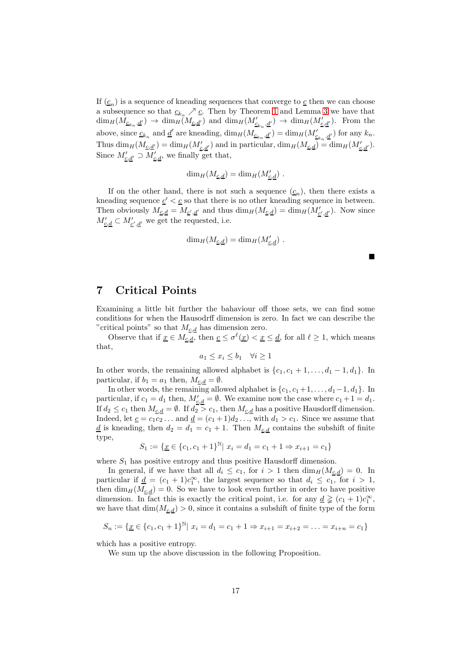If  $(c_n)$  is a sequence of kneading sequences that converge to  $c$  then we can choose a subsequence so that  $\underline{c}_{k_n} \nearrow \underline{c}$ . Then by Theorem [1](#page-3-0) and Lemma [3](#page-4-0) we have that  $\dim_H(M_{\underline{c}_{k_n},\underline{d'}}) \to \dim_H(M_{\underline{c},\underline{d'}}')$  and  $\dim_H(M'_{\underline{c}_{k_n},\underline{d'}}) \to \dim_H(M'_{\underline{c},\underline{d'}})$ . From the above, since  $\underline{c}_{k_n}$  and  $\underline{d}'$  are kneading,  $\dim_H(M_{\underline{c}_{k_n},\underline{d}'}) = \dim_H(M'_{\underline{c}_{k_n},\underline{d}'})$  for any  $k_n$ . Thus  $\dim_H(M_{\underline{c},\underline{d}'}) = \dim_H(M'_{\underline{c},\underline{d}'})$  and in particular,  $\dim_H(M_{\underline{c},\underline{d}}) = \dim_H(M'_{\underline{c},\underline{d}'})$ . Since  $M'_{\underline{c},\underline{d}'} \supset M'_{\underline{c},\underline{d}}$ , we finally get that,

$$
\dim_H(M_{\underline{c},\underline{d}}) = \dim_H(M'_{\underline{c},\underline{d}}) .
$$

If on the other hand, there is not such a sequence  $(c_n)$ , then there exists a kneading sequence  $c' < c$  so that there is no other kneading sequence in between. Then obviously  $M_{\underline{c},\underline{d}} = M_{\underline{c}',\underline{d}'}$  and thus  $\dim_H(M_{\underline{c},\underline{d}}) = \dim_H(M'_{\underline{c}',\underline{d}'})$ . Now since  $M'_{\underline{c},\underline{d}} \subset M'_{\underline{c}',\underline{d}'}$  we get the requested, i.e.

$$
\dim_H(M_{\underline{c},\underline{d}}) = \dim_H(M'_{\underline{c},\underline{d}}) .
$$

# 7 Critical Points

Examining a little bit further the bahaviour off those sets, we can find some conditions for when the Hausodrff dimension is zero. In fact we can describe the "critical points" so that  $M_{c,d}$  has dimension zero.

Observe that if  $\underline{x} \in M_{\underline{c},\underline{d}}$ , then  $\underline{c} \leq \sigma^{\ell}(\underline{x}) < \underline{x} \leq \underline{d}$ , for all  $\ell \geq 1$ , which means that,

$$
a_1 \le x_i \le b_1 \quad \forall i \ge 1
$$

In other words, the remaining allowed alphabet is  $\{c_1, c_1 + 1, \ldots, d_1 - 1, d_1\}$ . In particular, if  $b_1 = a_1$  then,  $M_{\underline{c}, \underline{d}} = \emptyset$ .

In other words, the remaining allowed alphabet is  $\{c_1, c_1+1, \ldots, d_1-1, d_1\}$ . In particular, if  $c_1 = d_1$  then,  $M'_{\underline{c},\underline{d}} = \emptyset$ . We examine now the case where  $c_1 + 1 = d_1$ . If  $d_2 \leq c_1$  then  $M_{c,d} = \emptyset$ . If  $d_2 > c_1$ , then  $M_{c,d}$  has a positive Hausdorff dimension. Indeed, let  $\underline{c} = c_1c_2 \ldots$  and  $\underline{d} = (c_1 + 1)d_2 \ldots$ , with  $d_1 > c_1$ . Since we assume that  $\underline{d}$  is kneading, then  $d_2 = d_1 = c_1 + 1$ . Then  $M_{c,d}$  contains the subshift of finite type,

$$
S_1 := \{ \underline{x} \in \{c_1, c_1 + 1\}^{\mathbb{N}} \mid x_i = d_1 = c_1 + 1 \Rightarrow x_{i+1} = c_1 \}
$$

where  $S_1$  has positive entropy and thus positive Hausdorff dimension.

In general, if we have that all  $d_i \leq c_1$ , for  $i > 1$  then  $\dim_H(M_{\underline{c},\underline{d}}) = 0$ . In particular if  $\underline{d} = (c_1 + 1)c_1^{\infty}$ , the largest sequence so that  $d_i \leq c_1$ , for  $i > 1$ , then  $\dim_H(M_{c,d}) = 0$ . So we have to look even further in order to have positive dimension. In fact this is exactly the critical point, i.e. for any  $\underline{d} \geq (c_1 + 1)c_1^{\infty}$ , we have that  $\dim(M_{c,d}) > 0$ , since it contains a subshift of finite type of the form

$$
S_n := \{ \underline{x} \in \{c_1, c_1 + 1\}^{\mathbb{N}} \mid x_i = d_1 = c_1 + 1 \Rightarrow x_{i+1} = x_{i+2} = \ldots = x_{i+n} = c_1 \}
$$

which has a positive entropy.

We sum up the above discussion in the following Proposition.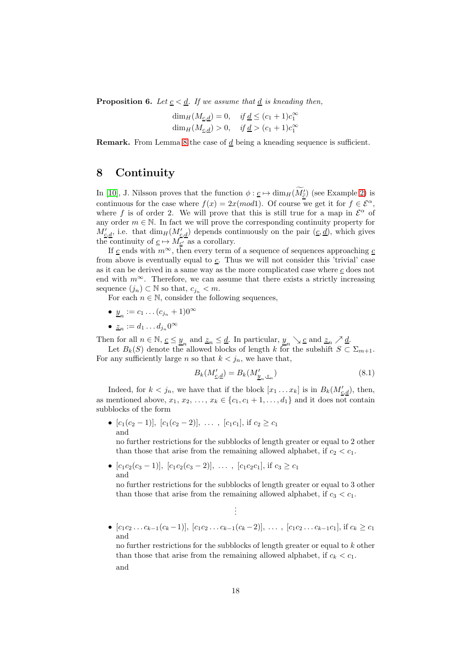**Proposition 6.** Let  $\underline{c} < \underline{d}$ . If we assume that  $\underline{d}$  is kneading then,

$$
\dim_H(M_{\underline{c},\underline{d}}) = 0, \quad \text{if } \underline{d} \le (c_1 + 1)c_1^{\infty}
$$
  

$$
\dim_H(M_{\underline{c},\underline{d}}) > 0, \quad \text{if } \underline{d} > (c_1 + 1)c_1^{\infty}
$$

**Remark.** From Lemma [8](#page-11-0) the case of  $\underline{d}$  being a kneading sequence is sufficient.

# <span id="page-17-1"></span>8 Continuity

In [10], J. Nilsson proves that the function  $\phi : \underline{c} \mapsto \dim_H(M'_{\underline{\tilde{c}}})$  (see Example [2\)](#page-5-0) is continuous for the case where  $f(x) = 2x \pmod{1}$ . Of course we get it for  $f \in \mathcal{E}^{\alpha}$ , where f is of order 2. We will prove that this is still true for a map in  $\mathcal{E}^{\alpha}$  of any order  $m \in \mathbb{N}$ . In fact we will prove the corresponding continuity property for  $M'_{\underline{c},\underline{d}}$ , i.e. that  $\dim_H(M'_{\underline{c},\underline{d}})$  depends continuously on the pair  $(\underline{c},\underline{d})$ , which gives the continuity of  $\underline{c} \mapsto M_{\underline{c}'}$  as a corollary.

If c ends with  $m^{\infty}$ , then every term of a sequence of sequences approaching c from above is eventually equal to c. Thus we will not consider this 'trivial' case as it can be derived in a same way as the more complicated case where  $c$  does not end with  $m^{\infty}$ . Therefore, we can assume that there exists a strictly increasing sequence  $(j_n) \subset \mathbb{N}$  so that,  $c_{j_n} < m$ .

For each  $n \in \mathbb{N}$ , consider the following sequences,

- $\underline{y}_n := c_1 \dots (c_{j_n} + 1) 0^\infty$
- $\underline{z}_n := d_1 \dots d_{j_n} 0^\infty$

Then for all  $n \in \mathbb{N}$ ,  $c \leq \underline{y}_n$  and  $\underline{z}_n \leq \underline{d}$ . In particular,  $\underline{y}_n \searrow c$  and  $\underline{z}_n \nearrow \underline{d}$ .

Let  $B_k(S)$  denote the allowed blocks of length k for the subshift  $S \subset \Sigma_{m+1}$ . For any sufficiently large n so that  $k < j_n$ , we have that,

<span id="page-17-0"></span>
$$
B_k(M'_{\underline{c},\underline{d}}) = B_k(M'_{\underline{y}_n,\underline{z}_n})\tag{8.1}
$$

Indeed, for  $k < j_n$ , we have that if the block  $[x_1 \dots x_k]$  is in  $B_k(M'_{\underline{c},\underline{d}})$ , then, as mentioned above,  $x_1, x_2, \ldots, x_k \in \{c_1, c_1 + 1, \ldots, d_1\}$  and it does not contain subblocks of the form

•  $[c_1(c_2-1)], [c_1(c_2-2)], \ldots, [c_1c_1],$  if  $c_2 \ge c_1$ and

no further restrictions for the subblocks of length greater or equal to 2 other than those that arise from the remaining allowed alphabet, if  $c_2 < c_1$ .

•  $[c_1c_2(c_3-1)], [c_1c_2(c_3-2)], \ldots, [c_1c_2c_1],$  if  $c_3 \ge c_1$ and

no further restrictions for the subblocks of length greater or equal to 3 other than those that arise from the remaining allowed alphabet, if  $c_3 < c_1$ .

> . . .

•  $[c_1c_2 \ldots c_{k-1}(c_k-1)], [c_1c_2 \ldots c_{k-1}(c_k-2)], \ldots, [c_1c_2 \ldots c_{k-1}c_1], \text{if } c_k \geq c_1$ and no further restrictions for the subblocks of length greater or equal to k other than those that arise from the remaining allowed alphabet, if  $c_k < c_1$ . and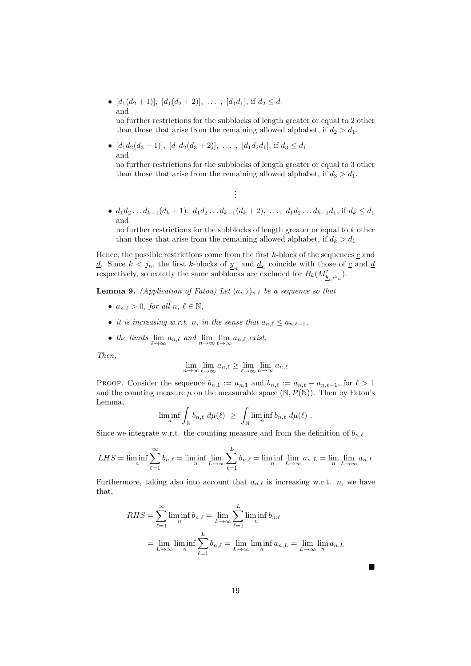•  $[d_1(d_2+1)], [d_1(d_2+2)], \ldots, [d_1d_1],$  if  $d_2 \leq d_1$ and

no further restrictions for the subblocks of length greater or equal to 2 other than those that arise from the remaining allowed alphabet, if  $d_2 > d_1$ .

•  $[d_1d_2(d_3+1)], [d_1d_2(d_3+2)], \ldots, [d_1d_2d_1],$  if  $d_3 \leq d_1$ and

no further restrictions for the subblocks of length greater or equal to 3 other than those that arise from the remaining allowed alphabet, if  $d_3 > d_1$ .

•  $d_1d_2 \ldots d_{k-1}(d_k + 1), d_1d_2 \ldots d_{k-1}(d_k + 2), \ldots, d_1d_2 \ldots d_{k-1}d_1$ , if  $d_k \leq d_1$ and

. . .

no further restrictions for the subblocks of length greater or equal to k other than those that arise from the remaining allowed alphabet, if  $d_k > d_1$ 

Hence, the possible restrictions come from the first  $k$ -block of the sequences  $c$  and <u>d</u>. Since  $k < j_n$ , the first k-blocks of  $\underline{y}_n$  and  $\underline{d}_n$  coincide with those of <u>c</u> and <u>d</u> respectively, so exactly the same subblocks are excluded for  $B_k(M'_{\underline{y}_n,\underline{z}_n}).$ 

<span id="page-18-0"></span>**Lemma 9.** (Application of Fatou) Let  $(a_{n,\ell})_{n,\ell}$  be a sequence so that

- $a_{n,\ell} > 0$ , for all  $n, \ell \in \mathbb{N}$ ,
- it is increasing w.r.t. n, in the sense that  $a_{n,\ell} \leq a_{n,\ell+1}$ ,
- the limits  $\lim_{\ell \to \infty} a_{n,\ell}$  and  $\lim_{n \to \infty} \lim_{\ell \to \infty} a_{n,\ell}$  exist.

Then,

$$
\lim_{n \to \infty} \lim_{\ell \to \infty} a_{n,\ell} \ge \lim_{\ell \to \infty} \lim_{n \to \infty} a_{n,\ell}
$$

PROOF. Consider the sequence  $b_{n,1} := a_{n,1}$  and  $b_{n,\ell} := a_{n,\ell} - a_{n,\ell-1}$ , for  $\ell > 1$ and the counting measure  $\mu$  on the measurable space (N,  $\mathcal{P}(\mathbb{N})$ ). Then by Fatou's Lemma,

$$
\liminf_n \int_{\mathbb{N}} b_{n,\ell} \ d\mu(\ell) \ \geq \ \int_{\mathbb{N}} \liminf_n b_{n,\ell} \ d\mu(\ell) \ .
$$

Since we integrate w.r.t. the counting measure and from the definition of  $b_{n,\ell}$ 

$$
LHS = \liminf_{n} \sum_{\ell=1}^{\infty} b_{n,\ell} = \liminf_{n} \lim_{L \to \infty} \sum_{\ell=1}^{L} b_{n,\ell} = \liminf_{n} \lim_{L \to \infty} a_{n,L} = \lim_{n} \lim_{L \to \infty} a_{n,L}
$$

Furthermore, taking also into account that  $a_{n,\ell}$  is increasing w.r.t. n, we have that,

$$
RHS = \sum_{\ell=1}^{\infty} \liminf_{n} b_{n,\ell} = \lim_{L \to \infty} \sum_{\ell=1}^{L} \liminf_{n} b_{n,\ell}
$$

$$
= \lim_{L \to \infty} \liminf_{n} \sum_{\ell=1}^{L} b_{n,\ell} = \lim_{L \to \infty} \liminf_{n} a_{n,L} = \lim_{L \to \infty} \lim_{n} a_{n,L}
$$

П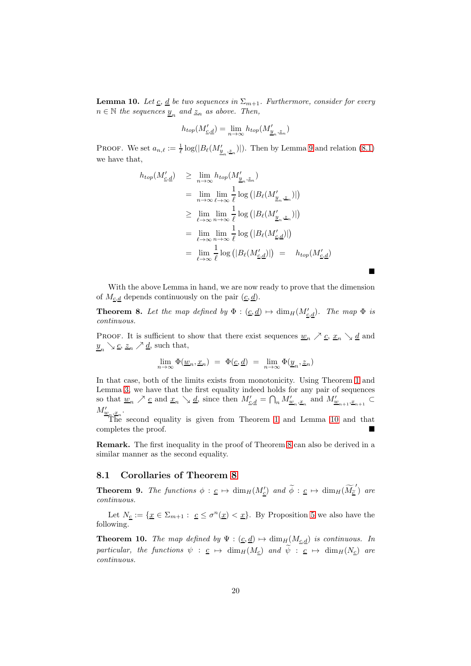<span id="page-19-0"></span>**Lemma 10.** Let <u>c</u>, <u>d</u> be two sequences in  $\Sigma_{m+1}$ . Furthermore, consider for every  $n \in \mathbb{N}$  the sequences  $\underline{y}_n$  and  $\underline{z}_n$  as above. Then,

$$
h_{top}(M'_{\underline{c},\underline{d}}) = \lim_{n \to \infty} h_{top}(M'_{\underline{y}_n, \underline{z}_n})
$$

PROOF. We set  $a_{n,\ell} := \frac{1}{\ell} \log(|B_{\ell}(M'_{\underline{y}_n,\underline{z}_n})|)$ . Then by Lemma [9](#page-18-0) and relation [\(8.1\)](#page-17-0) we have that,

$$
h_{top}(M'_{\underline{c},\underline{d}}) \geq \lim_{n \to \infty} h_{top}(M'_{\underline{y}_n, \underline{z}_n})
$$
  
\n
$$
= \lim_{n \to \infty} \lim_{\ell \to \infty} \frac{1}{\ell} \log (|B_{\ell}(M'_{\underline{y}_n, \underline{z}_n})|)
$$
  
\n
$$
\geq \lim_{\ell \to \infty} \lim_{n \to \infty} \frac{1}{\ell} \log (|B_{\ell}(M'_{\underline{y}_n, \underline{z}_n})|)
$$
  
\n
$$
= \lim_{\ell \to \infty} \lim_{n \to \infty} \frac{1}{\ell} \log (|B_{\ell}(M'_{\underline{c},\underline{d}})|)
$$
  
\n
$$
= \lim_{\ell \to \infty} \frac{1}{\ell} \log (|B_{\ell}(M'_{\underline{c},\underline{d}})|) = h_{top}(M'_{\underline{c},\underline{d}})
$$

 $\blacksquare$ 

With the above Lemma in hand, we are now ready to prove that the dimension of  $M_{c,d}$  depends continuously on the pair  $(\underline{c}, \underline{d})$ .

<span id="page-19-1"></span>**Theorem 8.** Let the map defined by  $\Phi : (\underline{c}, \underline{d}) \mapsto \dim_H(M'_{\underline{c}, \underline{d}})$ . The map  $\Phi$  is continuous.

PROOF. It is sufficient to show that there exist sequences  $\underline{w}_n \nearrow \underline{c}, \underline{x}_n \searrow \underline{d}$  and  $\underline{y}_n \searrow \underline{c}, \underline{z}_n \nearrow \underline{d}$ , such that,

$$
\lim_{n\to\infty}\Phi(\underline{w}_n,\underline{x}_n) \ = \ \Phi(\underline{c},\underline{d}) \ = \ \lim_{n\to\infty}\Phi(\underline{y}_n,\underline{z}_n)
$$

In that case, both of the limits exists from monotonicity. Using Theorem [1](#page-3-0) and Lemma [3,](#page-4-0) we have that the first equality indeed holds for any pair of sequences so that  $\underline{w}_n \nearrow \underline{c}$  and  $\underline{x}_n \searrow \underline{d}$ , since then  $M'_{\underline{c},\underline{d}} = \bigcap_n M'_{\underline{w}_n,\underline{x}_n}$  and  $M'_{\underline{w}_{n+1},\underline{x}_{n+1}} \subset$  $M'_{\underline{w}_n,\underline{x}_n}$ .

The second equality is given from Theorem [1](#page-3-0) and Lemma [10](#page-19-0) and that completes the proof.

Remark. The first inequality in the proof of Theorem [8](#page-19-1) can also be derived in a similar manner as the second equality.

### 8.1 Corollaries of Theorem [8](#page-19-1)

**Theorem 9.** The functions  $\phi : \underline{c} \mapsto \dim_H(M'_{\underline{c}})$  and  $\widetilde{\phi} : \underline{c} \mapsto \dim_H(\widetilde{M'_{\underline{c}}})$  are continuous.

Let  $N_{\underline{c}} := \{ \underline{x} \in \Sigma_{m+1} : \underline{c} \leq \sigma^n(\underline{x}) < \underline{x} \}.$  By Proposition [5](#page-15-0) we also have the following.

<span id="page-19-2"></span>**Theorem 10.** The map defined by  $\Psi : (\underline{c}, \underline{d}) \mapsto \dim_H(M_{\underline{c},\underline{d}})$  is continuous. In particular, the functions  $\psi : \underline{c} \mapsto \dim_H(M_c)$  and  $\widetilde{\psi} : \underline{c} \mapsto \dim_H(N_c)$  are continuous.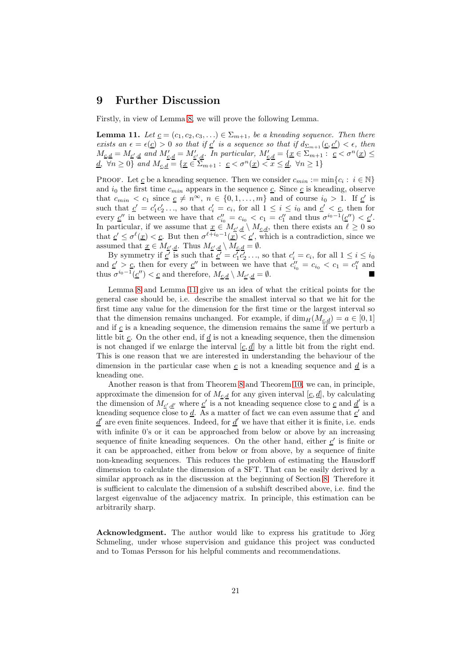# 9 Further Discussion

Firstly, in view of Lemma [8,](#page-11-0) we will prove the following Lemma.

<span id="page-20-0"></span>**Lemma 11.** Let  $\underline{c} = (c_1, c_2, c_3, ...) \in \Sigma_{m+1}$ , be a kneading sequence. Then there exists an  $\epsilon = \epsilon(\underline{c}) > 0$  so that if  $\underline{c}'$  is a sequence so that if  $d_{\Sigma_{m+1}}(\underline{c}, \underline{c}') < \epsilon$ , then  $M_{\underline{c},\underline{d}} = M_{\underline{c}',\underline{d}}$  and  $M'_{\underline{c},\underline{d}} = M'_{\underline{c}',\underline{d}}$ . In particular,  $M'_{\underline{c},\underline{d}} = {\underline{x} \in \Sigma_{m+1} : \underline{c} < \sigma^n(\underline{x}) \leq \overline{\sigma}}$  $\underline{d}, \forall n \geq 0$  and  $M_{\underline{c},\underline{d}} = \{ \underline{x} \in \overline{\Sigma}_{m+1} : \underline{c} < \sigma^n(\underline{x}) < \overline{x} \leq \underline{d}, \ \forall n \geq 1 \}$ 

PROOF. Let <u>c</u> be a kneading sequence. Then we consider  $c_{min} := \min\{c_i : i \in \mathbb{N}\}\$ and  $i_0$  the first time  $c_{min}$  appears in the sequence  $\underline{c}$ . Since  $\underline{c}$  is kneading, observe that  $c_{min} < c_1$  since  $\underline{c} \neq n^{\infty}$ ,  $n \in \{0, 1, ..., m\}$  and of course  $i_0 > 1$ . If  $\underline{c}'$  is such that  $\underline{c}' = c'_1 c'_2 \dots$ , so that  $c'_i = c_i$ , for all  $1 \leq i \leq i_0$  and  $\underline{c}' < \underline{c}$ , then for every  $\underline{c}''$  in between we have that  $c''_{i_0} = c_{i_0} < c_1 = c''_1$  and thus  $\sigma^{i_0-1}(\underline{c}'') < \underline{c}'$ . In particular, if we assume that  $\underline{x} \in M_{\underline{c', d}} \setminus M_{\underline{c, d}}$ , then there exists an  $\ell \geq 0$  so that  $c' \leq \sigma^{\ell}(\underline{x}) < c$ . But then  $\sigma^{\ell+i_0-1}(\underline{x}) < c'$ , which is a contradiction, since we assumed that  $\underline{x} \in M_{\underline{c}',\underline{d}}$ . Thus  $M_{\underline{c}',\underline{d}} \setminus M_{\underline{c},\underline{d}} = \emptyset$ .

By symmetry if  $\underline{c'}$  is such that  $\underline{c'} = c_1 \overline{c'_2 \ldots}$ , so that  $c'_i = c_i$ , for all  $1 \le i \le i_0$ and  $\underline{c}' > \underline{c}$ , then for every  $\underline{c}''$  in between we have that  $c''_{i_0} = c_{i_0} < c_1 = c''_1$  and thus  $\sigma^{i_0-1}(\underline{c}'') < \underline{c}$  and therefore,  $M_{\underline{c},\underline{d}} \setminus M_{\underline{c}',\underline{d}} = \emptyset$ .

Lemma [8](#page-11-0) and Lemma [11](#page-20-0) give us an idea of what the critical points for the general case should be, i.e. describe the smallest interval so that we hit for the first time any value for the dimension for the first time or the largest interval so that the dimension remains unchanged. For example, if  $\dim_H(M_{c,d}) = a \in [0,1]$ and if  $c$  is a kneading sequence, the dimension remains the same if we perturb a little bit  $c$ . On the other end, if  $d$  is not a kneading sequence, then the dimension is not changed if we enlarge the interval  $[c, d]$  by a little bit from the right end. This is one reason that we are interested in understanding the behaviour of the dimension in the particular case when  $c$  is not a kneading sequence and  $d$  is a kneading one.

Another reason is that from Theorem [8](#page-19-1) and Theorem [10,](#page-19-2) we can, in principle, approximate the dimension for of  $M_{\underline{c}, \underline{d}}$  for any given interval  $[\underline{c}, \underline{d}]$ , by calculating the dimension of  $M_{\underline{c}',\underline{d}'}$  where  $\underline{c}'$  is a not kneading sequence close to  $\underline{c}$  and  $\underline{d}'$  is a kneading sequence close to  $\underline{d}$ . As a matter of fact we can even assume that  $\underline{c}'$  and  $\underline{d}'$  are even finite sequences. Indeed, for  $\underline{d}'$  we have that either it is finite, i.e. ends with infinite 0's or it can be approached from below or above by an increasing sequence of finite kneading sequences. On the other hand, either  $\underline{c}'$  is finite or it can be approached, either from below or from above, by a sequence of finite non-kneading sequences. This reduces the problem of estimating the Hausdorff dimension to calculate the dimension of a SFT. That can be easily derived by a similar approach as in the discussion at the beginning of Section [8.](#page-17-1) Therefore it is sufficient to calculate the dimension of a subshift described above, i.e. find the largest eigenvalue of the adjacency matrix. In principle, this estimation can be arbitrarily sharp.

Acknowledgment. The author would like to express his gratitude to Jörg Schmeling, under whose supervision and guidance this project was conducted and to Tomas Persson for his helpful comments and recommendations.